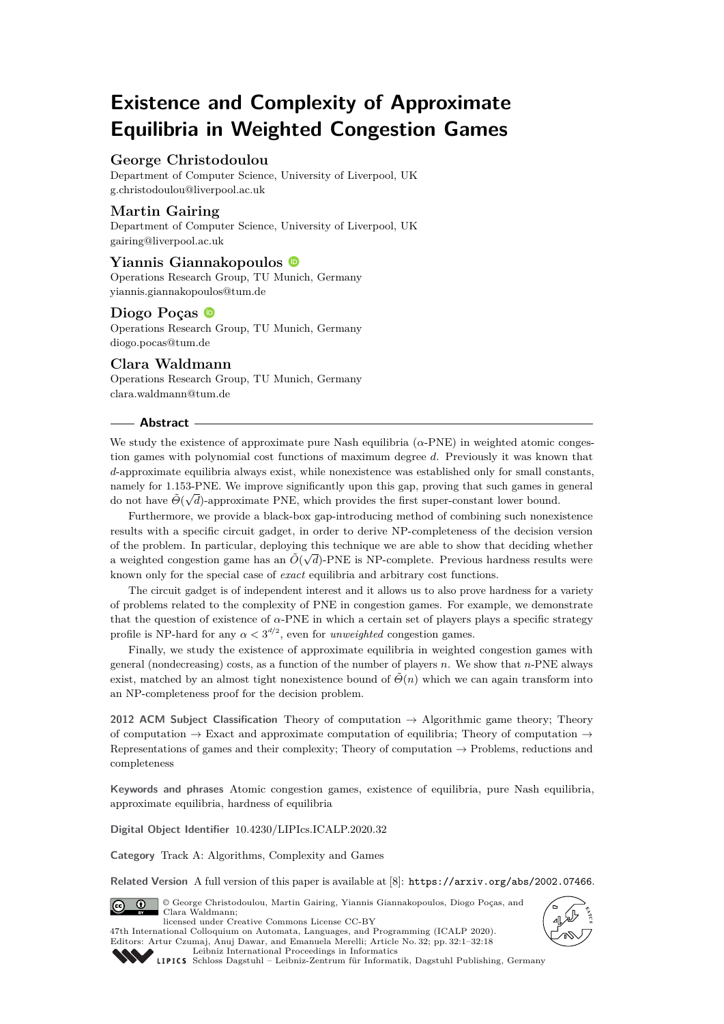# **Existence and Complexity of Approximate Equilibria in Weighted Congestion Games**

# **George Christodoulou**

Department of Computer Science, University of Liverpool, UK [g.christodoulou@liverpool.ac.uk](mailto:g.christodoulou@liverpool.ac.uk)

## **Martin Gairing**

Department of Computer Science, University of Liverpool, UK [gairing@liverpool.ac.uk](mailto:gairing@liverpool.ac.uk)

# **Yiannis Giannakopoulos**

Operations Research Group, TU Munich, Germany [yiannis.giannakopoulos@tum.de](mailto:yiannis.giannakopoulos@tum.de)

## **Diogo Poças**

Operations Research Group, TU Munich, Germany [diogo.pocas@tum.de](mailto:diogo.pocas@tum.de)

# **Clara Waldmann**

Operations Research Group, TU Munich, Germany [clara.waldmann@tum.de](mailto:clara.waldmann@tum.de)

#### **Abstract**

We study the existence of approximate pure Nash equilibria  $(\alpha$ -PNE) in weighted atomic congestion games with polynomial cost functions of maximum degree *d*. Previously it was known that *d*-approximate equilibria always exist, while nonexistence was established only for small constants, namely for 1.153-PNE. We improve significantly upon this gap, proving that such games in general do not have *Θ*˜( *d*)-approximate PNE, which provides the first super-constant lower bound.

Furthermore, we provide a black-box gap-introducing method of combining such nonexistence results with a specific circuit gadget, in order to derive NP-completeness of the decision version of the problem. In particular, deploying this technique we are able to show that deciding whether a weighted congestion game has an  $\tilde{O}(\sqrt{d})$ -PNE is NP-complete. Previous hardness results were known only for the special case of *exact* equilibria and arbitrary cost functions.

The circuit gadget is of independent interest and it allows us to also prove hardness for a variety of problems related to the complexity of PNE in congestion games. For example, we demonstrate that the question of existence of *α*-PNE in which a certain set of players plays a specific strategy profile is NP-hard for any  $\alpha < 3^{d/2}$ , even for *unweighted* congestion games.

Finally, we study the existence of approximate equilibria in weighted congestion games with general (nondecreasing) costs, as a function of the number of players *n*. We show that *n*-PNE always exist, matched by an almost tight nonexistence bound of  $\Theta(n)$  which we can again transform into an NP-completeness proof for the decision problem.

**2012 ACM Subject Classification** Theory of computation → Algorithmic game theory; Theory of computation  $\rightarrow$  Exact and approximate computation of equilibria; Theory of computation  $\rightarrow$ Representations of games and their complexity; Theory of computation  $\rightarrow$  Problems, reductions and completeness

**Keywords and phrases** Atomic congestion games, existence of equilibria, pure Nash equilibria, approximate equilibria, hardness of equilibria

**Digital Object Identifier** [10.4230/LIPIcs.ICALP.2020.32](https://doi.org/10.4230/LIPIcs.ICALP.2020.32)

**Category** Track A: Algorithms, Complexity and Games

Related Version A full version of this paper is available at [\[8\]](#page-16-0): <https://arxiv.org/abs/2002.07466>.



© George Christodoulou, Martin Gairing, Yiannis Giannakopoulos, Diogo Poças, and Clara Waldmann; licensed under Creative Commons License CC-BY 47th International Colloquium on Automata, Languages, and Programming (ICALP 2020).





[Leibniz International Proceedings in Informatics](https://www.dagstuhl.de/lipics/) [Schloss Dagstuhl – Leibniz-Zentrum für Informatik, Dagstuhl Publishing, Germany](https://www.dagstuhl.de)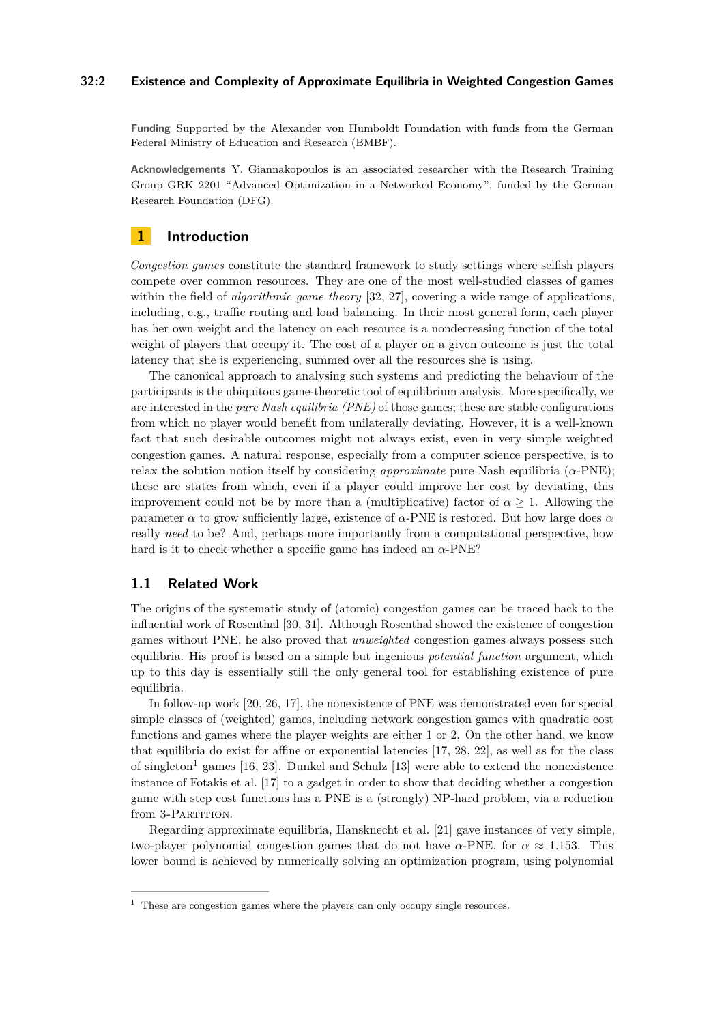## **32:2 Existence and Complexity of Approximate Equilibria in Weighted Congestion Games**

**Funding** Supported by the Alexander von Humboldt Foundation with funds from the German Federal Ministry of Education and Research (BMBF).

**Acknowledgements** Y. Giannakopoulos is an associated researcher with the Research Training Group GRK 2201 "Advanced Optimization in a Networked Economy", funded by the German Research Foundation (DFG).

# **1 Introduction**

*Congestion games* constitute the standard framework to study settings where selfish players compete over common resources. They are one of the most well-studied classes of games within the field of *algorithmic game theory* [\[32,](#page-17-1) [27\]](#page-17-2), covering a wide range of applications, including, e.g., traffic routing and load balancing. In their most general form, each player has her own weight and the latency on each resource is a nondecreasing function of the total weight of players that occupy it. The cost of a player on a given outcome is just the total latency that she is experiencing, summed over all the resources she is using.

The canonical approach to analysing such systems and predicting the behaviour of the participants is the ubiquitous game-theoretic tool of equilibrium analysis. More specifically, we are interested in the *pure Nash equilibria (PNE)* of those games; these are stable configurations from which no player would benefit from unilaterally deviating. However, it is a well-known fact that such desirable outcomes might not always exist, even in very simple weighted congestion games. A natural response, especially from a computer science perspective, is to relax the solution notion itself by considering *approximate* pure Nash equilibria  $(\alpha$ -PNE); these are states from which, even if a player could improve her cost by deviating, this improvement could not be by more than a (multiplicative) factor of  $\alpha > 1$ . Allowing the parameter *α* to grow sufficiently large, existence of *α*-PNE is restored. But how large does *α* really *need* to be? And, perhaps more importantly from a computational perspective, how hard is it to check whether a specific game has indeed an *α*-PNE?

# **1.1 Related Work**

The origins of the systematic study of (atomic) congestion games can be traced back to the influential work of Rosenthal [\[30,](#page-17-3) [31\]](#page-17-4). Although Rosenthal showed the existence of congestion games without PNE, he also proved that *unweighted* congestion games always possess such equilibria. His proof is based on a simple but ingenious *potential function* argument, which up to this day is essentially still the only general tool for establishing existence of pure equilibria.

In follow-up work [\[20,](#page-17-5) [26,](#page-17-6) [17\]](#page-16-1), the nonexistence of PNE was demonstrated even for special simple classes of (weighted) games, including network congestion games with quadratic cost functions and games where the player weights are either 1 or 2. On the other hand, we know that equilibria do exist for affine or exponential latencies [\[17,](#page-16-1) [28,](#page-17-7) [22\]](#page-17-8), as well as for the class of singleton<sup>[1](#page-1-0)</sup> games  $[16, 23]$  $[16, 23]$  $[16, 23]$ . Dunkel and Schulz  $[13]$  were able to extend the nonexistence instance of Fotakis et al. [\[17\]](#page-16-1) to a gadget in order to show that deciding whether a congestion game with step cost functions has a PNE is a (strongly) NP-hard problem, via a reduction from 3-PARTITION.

Regarding approximate equilibria, Hansknecht et al. [\[21\]](#page-17-10) gave instances of very simple, two-player polynomial congestion games that do not have  $\alpha$ -PNE, for  $\alpha \approx 1.153$ . This lower bound is achieved by numerically solving an optimization program, using polynomial

<span id="page-1-0"></span><sup>&</sup>lt;sup>1</sup> These are congestion games where the players can only occupy single resources.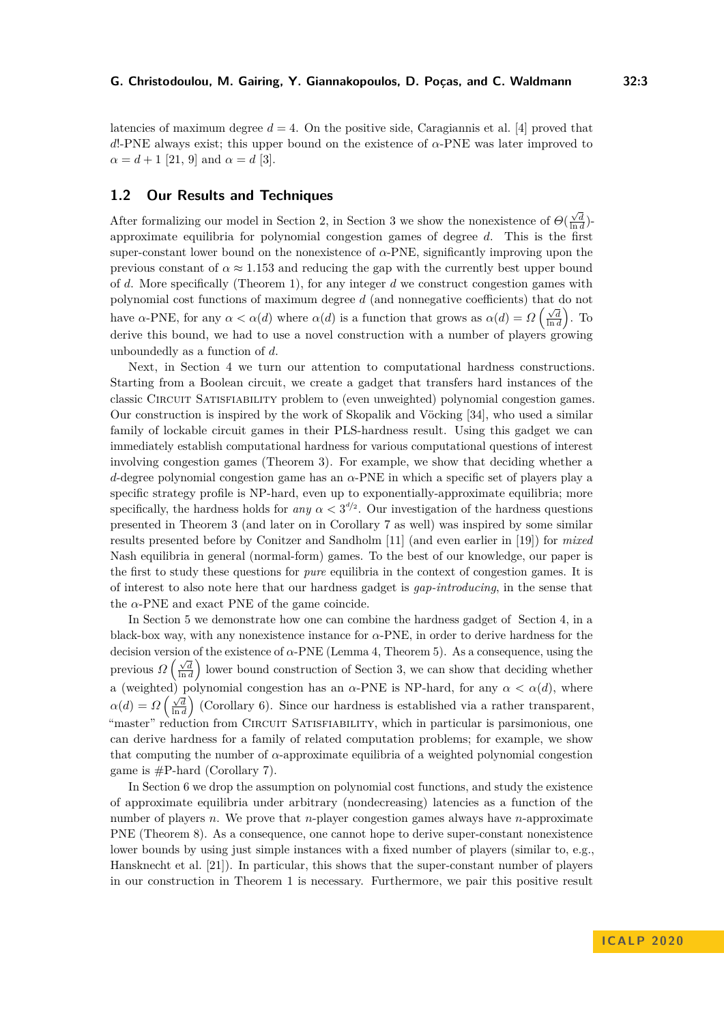latencies of maximum degree  $d = 4$ . On the positive side, Caragiannis et al. [\[4\]](#page-16-4) proved that *d*!-PNE always exist; this upper bound on the existence of *α*-PNE was later improved to  $\alpha = d + 1$  [\[21,](#page-17-10) [9\]](#page-16-5) and  $\alpha = d$  [\[3\]](#page-16-6).

## <span id="page-2-0"></span>**1.2 Our Results and Techniques**

After formalizing our model in Section [2,](#page-3-0) in Section [3](#page-4-0) we show the nonexistence of  $\Theta(\frac{\sqrt{d}}{\ln d})$ approximate equilibria for polynomial congestion games of degree *d*. This is the first super-constant lower bound on the nonexistence of  $\alpha$ -PNE, significantly improving upon the previous constant of  $\alpha \approx 1.153$  and reducing the gap with the currently best upper bound of *d*. More specifically (Theorem [1\)](#page-5-0), for any integer *d* we construct congestion games with polynomial cost functions of maximum degree *d* (and nonnegative coefficients) that do not have *α*-PNE, for any  $\alpha < \alpha(d)$  where  $\alpha(d)$  is a function that grows as  $\alpha(d) = \Omega\left(\frac{\sqrt{d}}{\ln d}\right)$ . To derive this bound, we had to use a novel construction with a number of players growing unboundedly as a function of *d*.

Next, in Section [4](#page-6-0) we turn our attention to computational hardness constructions. Starting from a Boolean circuit, we create a gadget that transfers hard instances of the classic Circuit Satisfiability problem to (even unweighted) polynomial congestion games. Our construction is inspired by the work of Skopalik and Vöcking [\[34\]](#page-17-11), who used a similar family of lockable circuit games in their PLS-hardness result. Using this gadget we can immediately establish computational hardness for various computational questions of interest involving congestion games (Theorem [3\)](#page-8-0). For example, we show that deciding whether a *d*-degree polynomial congestion game has an *α*-PNE in which a specific set of players play a specific strategy profile is NP-hard, even up to exponentially-approximate equilibria; more specifically, the hardness holds for *any*  $\alpha < 3^{d/2}$ . Our investigation of the hardness questions presented in Theorem [3](#page-8-0) (and later on in Corollary [7](#page-13-0) as well) was inspired by some similar results presented before by Conitzer and Sandholm [\[11\]](#page-16-7) (and even earlier in [\[19\]](#page-17-12)) for *mixed* Nash equilibria in general (normal-form) games. To the best of our knowledge, our paper is the first to study these questions for *pure* equilibria in the context of congestion games. It is of interest to also note here that our hardness gadget is *gap-introducing*, in the sense that the  $\alpha$ -PNE and exact PNE of the game coincide.

In Section [5](#page-8-1) we demonstrate how one can combine the hardness gadget of Section [4,](#page-6-0) in a black-box way, with any nonexistence instance for *α*-PNE, in order to derive hardness for the decision version of the existence of *α*-PNE (Lemma [4,](#page-10-0) Theorem [5\)](#page-12-0). As a consequence, using the previous  $\Omega\left(\frac{\sqrt{d}}{\ln d}\right)$  lower bound construction of Section [3,](#page-4-0) we can show that deciding whether ln *d* a (weighted) polynomial congestion has an  $\alpha$ -PNE is NP-hard, for any  $\alpha < \alpha(d)$ , where  $\alpha(d) = \Omega\left(\frac{\sqrt{d}}{\ln d}\right)$  (Corollary [6\)](#page-12-1). Since our hardness is established via a rather transparent, "master" reduction from CIRCUIT SATISFIABILITY, which in particular is parsimonious, one can derive hardness for a family of related computation problems; for example, we show that computing the number of *α*-approximate equilibria of a weighted polynomial congestion game is  $\#P$ -hard (Corollary [7\)](#page-13-0).

In Section [6](#page-13-1) we drop the assumption on polynomial cost functions, and study the existence of approximate equilibria under arbitrary (nondecreasing) latencies as a function of the number of players *n*. We prove that *n*-player congestion games always have *n*-approximate PNE (Theorem [8\)](#page-13-2). As a consequence, one cannot hope to derive super-constant nonexistence lower bounds by using just simple instances with a fixed number of players (similar to, e.g., Hansknecht et al. [\[21\]](#page-17-10)). In particular, this shows that the super-constant number of players in our construction in Theorem [1](#page-5-0) is necessary. Furthermore, we pair this positive result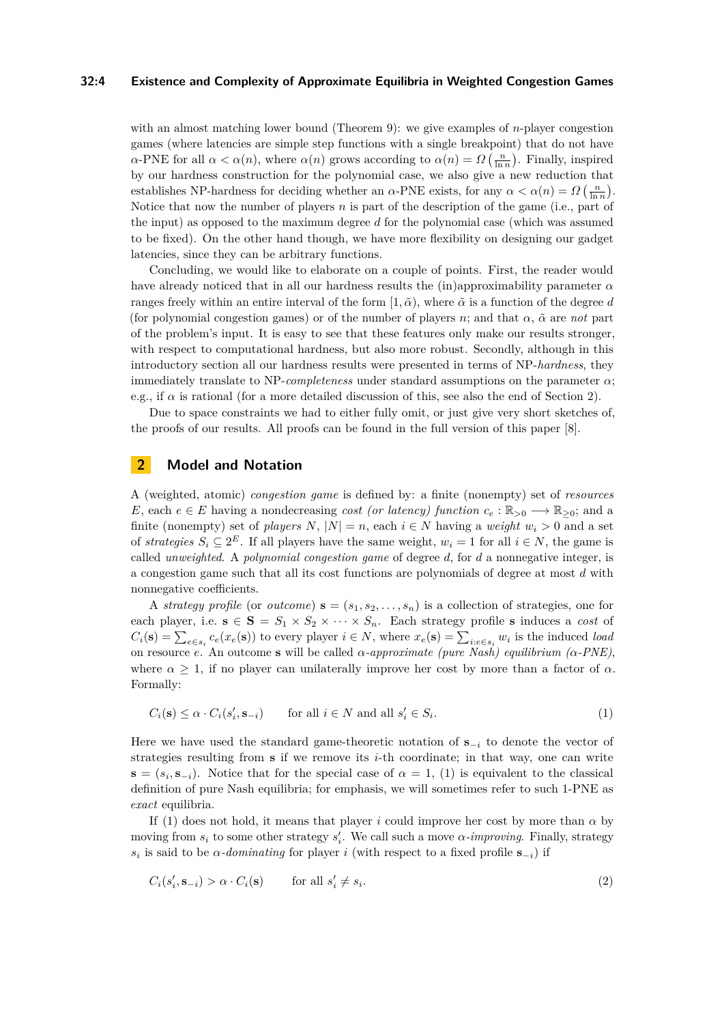## **32:4 Existence and Complexity of Approximate Equilibria in Weighted Congestion Games**

with an almost matching lower bound (Theorem [9\)](#page-15-0): we give examples of *n*-player congestion games (where latencies are simple step functions with a single breakpoint) that do not have *α*-PNE for all  $\alpha < \alpha(n)$ , where  $\alpha(n)$  grows according to  $\alpha(n) = \Omega\left(\frac{n}{\ln n}\right)$ . Finally, inspired by our hardness construction for the polynomial case, we also give a new reduction that establishes NP-hardness for deciding whether an *α*-PNE exists, for any  $\alpha < \alpha(n) = \Omega\left(\frac{n}{\ln n}\right)$ . Notice that now the number of players *n* is part of the description of the game (i.e., part of the input) as opposed to the maximum degree *d* for the polynomial case (which was assumed to be fixed). On the other hand though, we have more flexibility on designing our gadget latencies, since they can be arbitrary functions.

Concluding, we would like to elaborate on a couple of points. First, the reader would have already noticed that in all our hardness results the (in)approximability parameter *α* ranges freely within an entire interval of the form  $[1, \tilde{\alpha})$ , where  $\tilde{\alpha}$  is a function of the degree *d* (for polynomial congestion games) or of the number of players *n*; and that  $\alpha$ ,  $\tilde{\alpha}$  are *not* part of the problem's input. It is easy to see that these features only make our results stronger, with respect to computational hardness, but also more robust. Secondly, although in this introductory section all our hardness results were presented in terms of NP-*hardness*, they immediately translate to NP-*completeness* under standard assumptions on the parameter *α*; e.g., if  $\alpha$  is rational (for a more detailed discussion of this, see also the end of Section [2\)](#page-3-0).

Due to space constraints we had to either fully omit, or just give very short sketches of, the proofs of our results. All proofs can be found in the full version of this paper [\[8\]](#page-16-0).

# <span id="page-3-0"></span>**2 Model and Notation**

A (weighted, atomic) *congestion game* is defined by: a finite (nonempty) set of *resources E*, each  $e \in E$  having a nondecreasing *cost (or latency) function*  $c_e : \mathbb{R}_{>0} \longrightarrow \mathbb{R}_{>0}$ ; and a finite (nonempty) set of *players N*,  $|N| = n$ , each  $i \in N$  having a *weight*  $w_i > 0$  and a set of *strategies*  $S_i \subseteq 2^E$ . If all players have the same weight,  $w_i = 1$  for all  $i \in N$ , the game is called *unweighted*. A *polynomial congestion game* of degree *d*, for *d* a nonnegative integer, is a congestion game such that all its cost functions are polynomials of degree at most *d* with nonnegative coefficients.

A *strategy profile* (or *outcome*)  $\mathbf{s} = (s_1, s_2, \dots, s_n)$  is a collection of strategies, one for each player, i.e.  $\mathbf{s} \in \mathbf{S} = S_1 \times S_2 \times \cdots \times S_n$ . Each strategy profile **s** induces a *cost* of  $C_i(\mathbf{s}) = \sum_{e \in s_i} c_e(x_e(\mathbf{s}))$  to every player  $i \in N$ , where  $x_e(\mathbf{s}) = \sum_{i:e \in s_i} w_i$  is the induced *load* on resource *e*. An outcome **s** will be called *α-approximate (pure Nash) equilibrium (α-PNE)*, where  $\alpha > 1$ , if no player can unilaterally improve her cost by more than a factor of  $\alpha$ . Formally:

<span id="page-3-1"></span>
$$
C_i(\mathbf{s}) \le \alpha \cdot C_i(s_i', \mathbf{s}_{-i}) \qquad \text{for all } i \in N \text{ and all } s_i' \in S_i.
$$
 (1)

Here we have used the standard game-theoretic notation of **s**<sup>−</sup>*<sup>i</sup>* to denote the vector of strategies resulting from **s** if we remove its *i*-th coordinate; in that way, one can write **s** =  $(s_i, \mathbf{s}_{-i})$ . Notice that for the special case of  $\alpha = 1$ , [\(1\)](#page-3-1) is equivalent to the classical definition of pure Nash equilibria; for emphasis, we will sometimes refer to such 1-PNE as *exact* equilibria.

If [\(1\)](#page-3-1) does not hold, it means that player *i* could improve her cost by more than  $\alpha$  by moving from  $s_i$  to some other strategy  $s'_i$ . We call such a move  $\alpha$ *-improving*. Finally, strategy  $s_i$  is said to be *α-dominating* for player *i* (with respect to a fixed profile  $\mathbf{s}_{-i}$ ) if

$$
C_i(s'_i, \mathbf{s}_{-i}) > \alpha \cdot C_i(\mathbf{s}) \qquad \text{for all } s'_i \neq s_i. \tag{2}
$$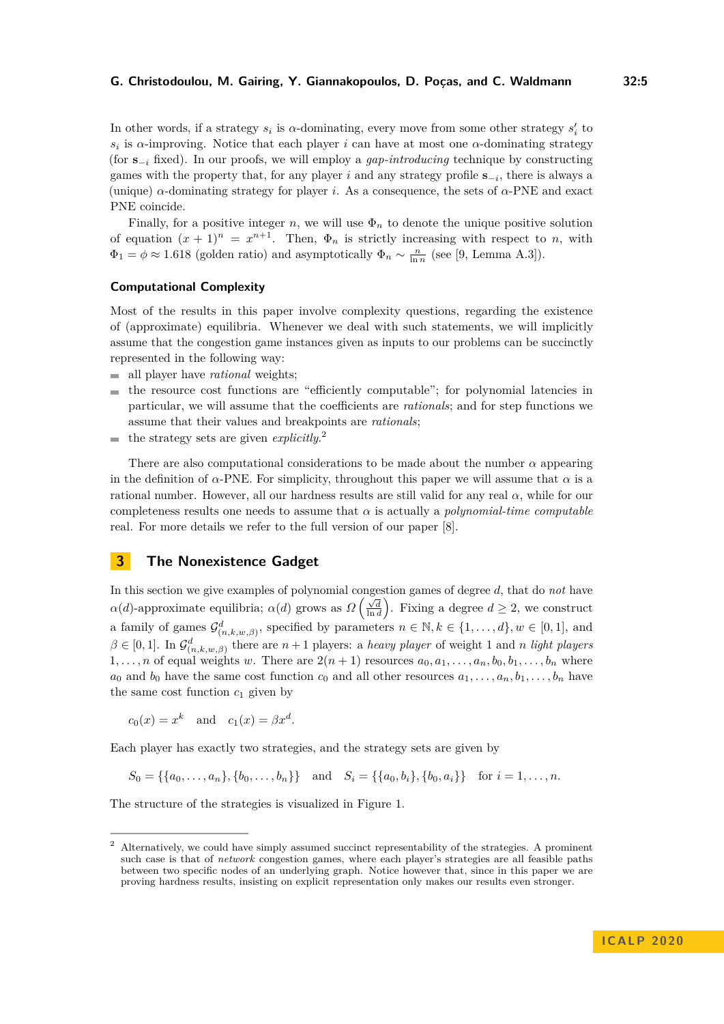In other words, if a strategy  $s_i$  is  $\alpha$ -dominating, every move from some other strategy  $s'_i$  to  $s_i$  is *α*-improving. Notice that each player *i* can have at most one *α*-dominating strategy (for **s**−*<sup>i</sup>* fixed). In our proofs, we will employ a *gap-introducing* technique by constructing games with the property that, for any player *i* and any strategy profile **s**−*<sup>i</sup>* , there is always a (unique) *α*-dominating strategy for player *i*. As a consequence, the sets of *α*-PNE and exact PNE coincide.

Finally, for a positive integer  $n$ , we will use  $\Phi_n$  to denote the unique positive solution of equation  $(x + 1)^n = x^{n+1}$ . Then,  $\Phi_n$  is strictly increasing with respect to *n*, with  $\Phi_1 = \phi \approx 1.618$  (golden ratio) and asymptotically  $\Phi_n \sim \frac{n}{\ln n}$  (see [\[9,](#page-16-5) Lemma A.3]).

## **Computational Complexity**

Most of the results in this paper involve complexity questions, regarding the existence of (approximate) equilibria. Whenever we deal with such statements, we will implicitly assume that the congestion game instances given as inputs to our problems can be succinctly represented in the following way:

- all player have *rational* weights;
- the resource cost functions are "efficiently computable"; for polynomial latencies in  $\blacksquare$ particular, we will assume that the coefficients are *rationals*; and for step functions we assume that their values and breakpoints are *rationals*;
- the strategy sets are given *explicitly*. [2](#page-4-1)  $\sim$

There are also computational considerations to be made about the number *α* appearing in the definition of  $\alpha$ -PNE. For simplicity, throughout this paper we will assume that  $\alpha$  is a rational number. However, all our hardness results are still valid for any real *α*, while for our completeness results one needs to assume that *α* is actually a *polynomial-time computable* real. For more details we refer to the full version of our paper [\[8\]](#page-16-0).

# <span id="page-4-0"></span>**3 The Nonexistence Gadget**

In this section we give examples of polynomial congestion games of degree *d*, that do *not* have *α*(*d*)-approximate equilibria; *α*(*d*) grows as  $\Omega\left(\frac{\sqrt{d}}{\ln d}\right)$ . Fixing a degree  $d \geq 2$ , we construct a family of games  $\mathcal{G}^d_{(n,k,w,\beta)}$ , specified by parameters  $n \in \mathbb{N}, k \in \{1,\ldots,d\}, w \in [0,1],$  and  $\beta \in [0,1]$ . In  $\mathcal{G}^d_{(n,k,w,\beta)}$  there are  $n+1$  players: a *heavy player* of weight 1 and *n light players* 1,..., *n* of equal weights *w*. There are  $2(n + 1)$  resources  $a_0, a_1, \ldots, a_n, b_0, b_1, \ldots, b_n$  where  $a_0$  and  $b_0$  have the same cost function  $c_0$  and all other resources  $a_1, \ldots, a_n, b_1, \ldots, b_n$  have the same cost function  $c_1$  given by

 $c_0(x) = x^k$  and  $c_1(x) = \beta x^d$ .

Each player has exactly two strategies, and the strategy sets are given by

 $S_0 = \{\{a_0, \ldots, a_n\}, \{b_0, \ldots, b_n\}\}\$ and  $S_i = \{\{a_0, b_i\}, \{b_0, a_i\}\}\$ for  $i = 1, \ldots, n$ .

The structure of the strategies is visualized in Figure [1.](#page-5-1)

<span id="page-4-1"></span><sup>2</sup> Alternatively, we could have simply assumed succinct representability of the strategies. A prominent such case is that of *network* congestion games, where each player's strategies are all feasible paths between two specific nodes of an underlying graph. Notice however that, since in this paper we are proving hardness results, insisting on explicit representation only makes our results even stronger.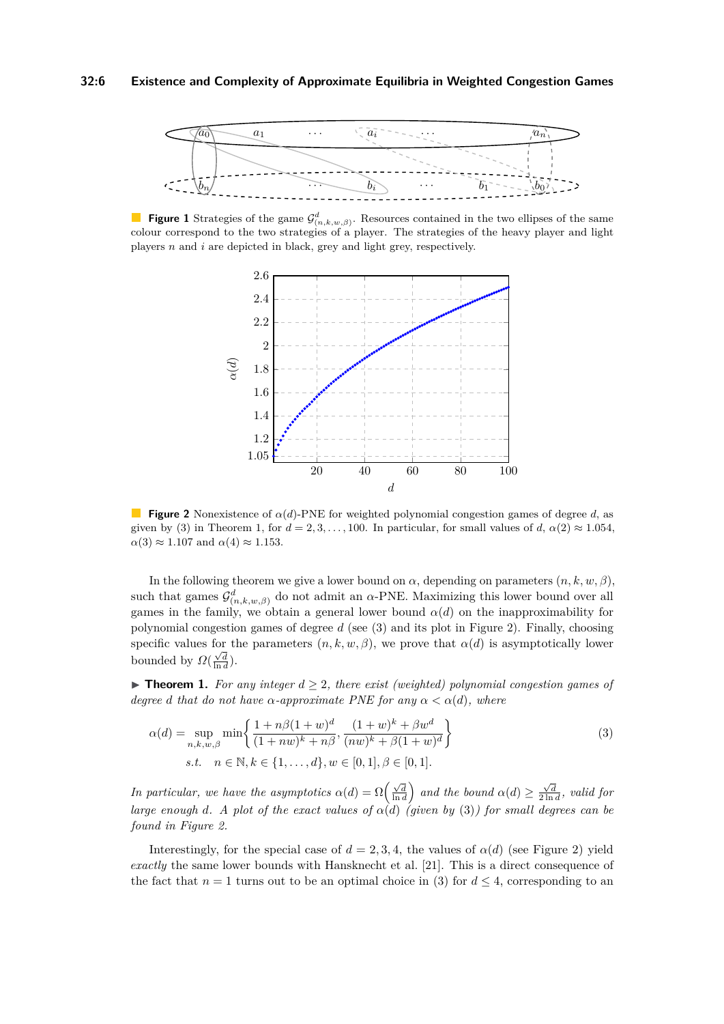<span id="page-5-1"></span>

<span id="page-5-3"></span>**Figure 1** Strategies of the game  $\mathcal{G}^d_{(n,k,w,\beta)}$ . Resources contained in the two ellipses of the same colour correspond to the two strategies of a player. The strategies of the heavy player and light players *n* and *i* are depicted in black, grey and light grey, respectively.



**Figure 2** Nonexistence of  $\alpha(d)$ -PNE for weighted polynomial congestion games of degree *d*, as given by [\(3\)](#page-5-2) in Theorem [1,](#page-5-0) for  $d = 2, 3, \ldots, 100$ . In particular, for small values of  $d$ ,  $\alpha(2) \approx 1.054$ ,  $\alpha(3) \approx 1.107$  and  $\alpha(4) \approx 1.153$ .

In the following theorem we give a lower bound on  $\alpha$ , depending on parameters  $(n, k, w, \beta)$ , such that games  $\mathcal{G}^d_{(n,k,w,\beta)}$  do not admit an *α*-PNE. Maximizing this lower bound over all games in the family, we obtain a general lower bound  $\alpha(d)$  on the inapproximability for polynomial congestion games of degree *d* (see [\(3\)](#page-5-2) and its plot in Figure [2\)](#page-5-3). Finally, choosing specific values for the parameters  $(n, k, w, \beta)$ , we prove that  $\alpha(d)$  is asymptotically lower bounded by  $\Omega(\frac{\sqrt{d}}{\ln d})$ .

<span id="page-5-0"></span>**► Theorem 1.** For any integer  $d \geq 2$ , there exist (weighted) polynomial congestion games of *degree d that do not have*  $\alpha$ *-approximate PNE for any*  $\alpha < \alpha(d)$ *, where* 

<span id="page-5-2"></span>
$$
\alpha(d) = \sup_{n,k,w,\beta} \min \left\{ \frac{1 + n\beta(1+w)^d}{(1+nw)^k + n\beta}, \frac{(1+w)^k + \beta w^d}{(nw)^k + \beta(1+w)^d} \right\}
$$
  
s.t.  $n \in \mathbb{N}, k \in \{1, ..., d\}, w \in [0,1], \beta \in [0,1].$  (3)

*In particular, we have the asymptotics*  $\alpha(d) = \Omega\left(\frac{\sqrt{d}}{\ln d}\right)$  and the bound  $\alpha(d) \ge \frac{\sqrt{d}}{2\ln d}$ , valid for *large enough d. A plot of the exact values of*  $\alpha(d)$  *(given by [\(3\)](#page-5-2)) for small degrees can be found in Figure [2.](#page-5-3)*

Interestingly, for the special case of  $d = 2, 3, 4$ , the values of  $\alpha(d)$  (see Figure [2\)](#page-5-3) yield *exactly* the same lower bounds with Hansknecht et al. [\[21\]](#page-17-10). This is a direct consequence of the fact that  $n = 1$  turns out to be an optimal choice in [\(3\)](#page-5-2) for  $d \leq 4$ , corresponding to an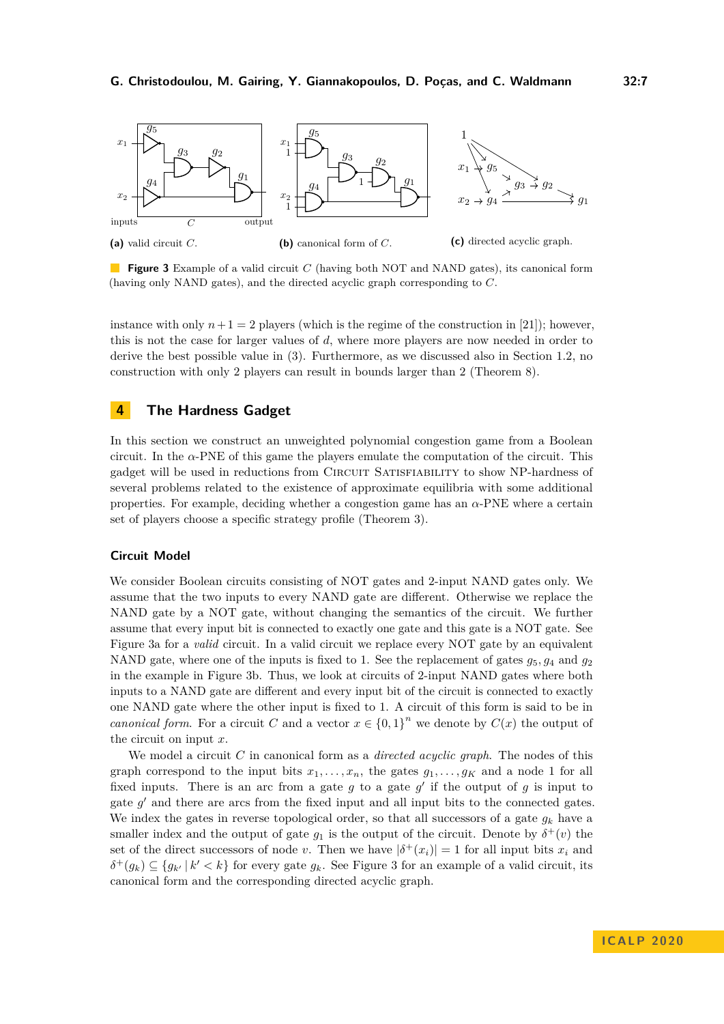<span id="page-6-1"></span>

**Figure 3** Example of a valid circuit *C* (having both NOT and NAND gates), its canonical form (having only NAND gates), and the directed acyclic graph corresponding to *C*.

instance with only  $n+1=2$  players (which is the regime of the construction in [\[21\]](#page-17-10)); however, this is not the case for larger values of *d*, where more players are now needed in order to derive the best possible value in [\(3\)](#page-5-2). Furthermore, as we discussed also in Section [1.2,](#page-2-0) no construction with only 2 players can result in bounds larger than 2 (Theorem [8\)](#page-13-2).

# <span id="page-6-0"></span>**4 The Hardness Gadget**

In this section we construct an unweighted polynomial congestion game from a Boolean circuit. In the  $\alpha$ -PNE of this game the players emulate the computation of the circuit. This gadget will be used in reductions from Circuit Satisfiability to show NP-hardness of several problems related to the existence of approximate equilibria with some additional properties. For example, deciding whether a congestion game has an *α*-PNE where a certain set of players choose a specific strategy profile (Theorem [3\)](#page-8-0).

#### **Circuit Model**

We consider Boolean circuits consisting of NOT gates and 2-input NAND gates only. We assume that the two inputs to every NAND gate are different. Otherwise we replace the NAND gate by a NOT gate, without changing the semantics of the circuit. We further assume that every input bit is connected to exactly one gate and this gate is a NOT gate. See Figure [3a](#page-6-1) for a *valid* circuit. In a valid circuit we replace every NOT gate by an equivalent NAND gate, where one of the inputs is fixed to 1. See the replacement of gates  $g_5, g_4$  and  $g_2$ in the example in Figure [3b.](#page-6-1) Thus, we look at circuits of 2-input NAND gates where both inputs to a NAND gate are different and every input bit of the circuit is connected to exactly one NAND gate where the other input is fixed to 1. A circuit of this form is said to be in *canonical form.* For a circuit *C* and a vector  $x \in \{0,1\}^n$  we denote by  $C(x)$  the output of the circuit on input *x*.

We model a circuit *C* in canonical form as a *directed acyclic graph*. The nodes of this graph correspond to the input bits  $x_1, \ldots, x_n$ , the gates  $g_1, \ldots, g_K$  and a node 1 for all fixed inputs. There is an arc from a gate  $g$  to a gate  $g'$  if the output of  $g$  is input to gate  $g'$  and there are arcs from the fixed input and all input bits to the connected gates. We index the gates in reverse topological order, so that all successors of a gate  $g_k$  have a smaller index and the output of gate  $g_1$  is the output of the circuit. Denote by  $\delta^+(v)$  the set of the direct successors of node *v*. Then we have  $|\delta^+(x_i)| = 1$  for all input bits  $x_i$  and  $\delta^+(g_k) \subseteq \{g_{k'} | k' < k\}$  for every gate  $g_k$ . See Figure [3](#page-6-1) for an example of a valid circuit, its canonical form and the corresponding directed acyclic graph.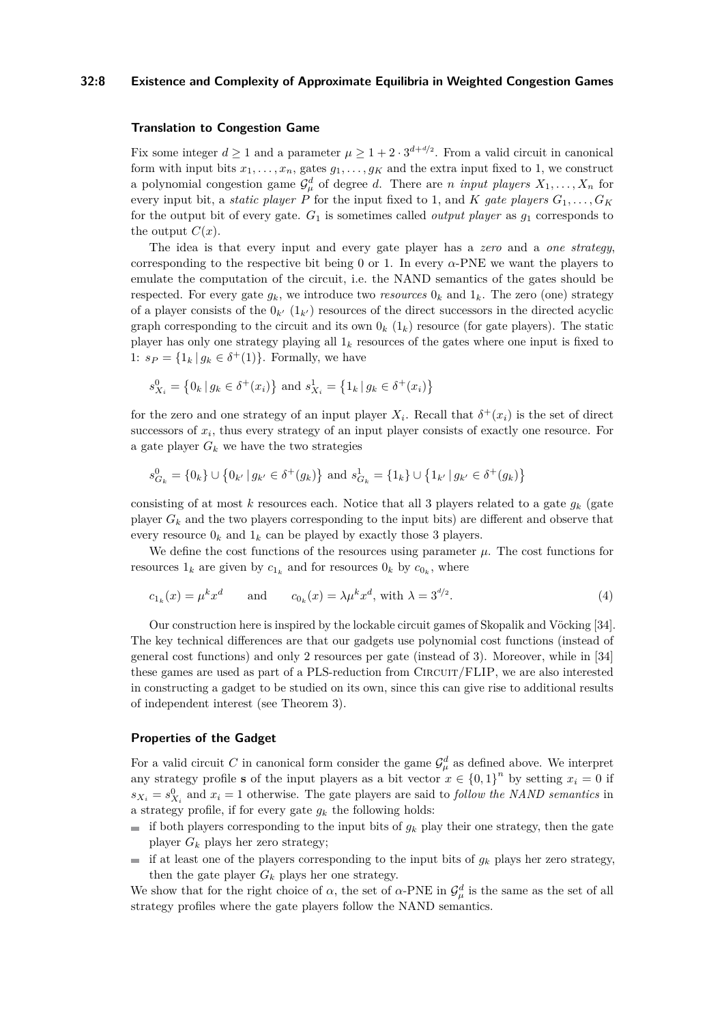## **32:8 Existence and Complexity of Approximate Equilibria in Weighted Congestion Games**

## **Translation to Congestion Game**

Fix some integer  $d \geq 1$  and a parameter  $\mu \geq 1 + 2 \cdot 3^{d+d/2}$ . From a valid circuit in canonical form with input bits  $x_1, \ldots, x_n$ , gates  $g_1, \ldots, g_k$  and the extra input fixed to 1, we construct a polynomial congestion game  $\mathcal{G}_{\mu}^{d}$  of degree *d*. There are *n input players*  $X_1, \ldots, X_n$  for every input bit, a *static player P* for the input fixed to 1, and *K* gate players  $G_1, \ldots, G_K$ for the output bit of every gate. *G*<sup>1</sup> is sometimes called *output player* as *g*<sup>1</sup> corresponds to the output  $C(x)$ .

The idea is that every input and every gate player has a *zero* and a *one strategy*, corresponding to the respective bit being 0 or 1. In every  $\alpha$ -PNE we want the players to emulate the computation of the circuit, i.e. the NAND semantics of the gates should be respected. For every gate  $g_k$ , we introduce two *resources*  $0_k$  and  $1_k$ . The zero (one) strategy of a player consists of the  $0_{k'}(1_{k'})$  resources of the direct successors in the directed acyclic graph corresponding to the circuit and its own  $0_k$  ( $1_k$ ) resource (for gate players). The static player has only one strategy playing all  $1_k$  resources of the gates where one input is fixed to 1:  $s_P = \{1_k | g_k \in \delta^+(1)\}\$ . Formally, we have

$$
s_{X_i}^0 = \{0_k | g_k \in \delta^+(x_i)\}\
$$
and  $s_{X_i}^1 = \{1_k | g_k \in \delta^+(x_i)\}\$ 

for the zero and one strategy of an input player  $X_i$ . Recall that  $\delta^+(x_i)$  is the set of direct successors of  $x_i$ , thus every strategy of an input player consists of exactly one resource. For a gate player  $G_k$  we have the two strategies

$$
s_{G_k}^0 = \{0_k\} \cup \left\{0_{k'} \, | \, g_{k'} \in \delta^+(g_k)\right\} \text{ and } s_{G_k}^1 = \{1_k\} \cup \left\{1_{k'} \, | \, g_{k'} \in \delta^+(g_k)\right\}
$$

consisting of at most  $k$  resources each. Notice that all 3 players related to a gate  $g_k$  (gate player  $G_k$  and the two players corresponding to the input bits) are different and observe that every resource  $0_k$  and  $1_k$  can be played by exactly those 3 players.

We define the cost functions of the resources using parameter  $\mu$ . The cost functions for resources  $1_k$  are given by  $c_{1_k}$  and for resources  $0_k$  by  $c_{0_k}$ , where

$$
c_{1_k}(x) = \mu^k x^d \qquad \text{and} \qquad c_{0_k}(x) = \lambda \mu^k x^d, \text{ with } \lambda = 3^{d/2}.
$$
 (4)

Our construction here is inspired by the lockable circuit games of Skopalik and Vöcking [\[34\]](#page-17-11). The key technical differences are that our gadgets use polynomial cost functions (instead of general cost functions) and only 2 resources per gate (instead of 3). Moreover, while in [\[34\]](#page-17-11) these games are used as part of a PLS-reduction from CIRCUIT/FLIP, we are also interested in constructing a gadget to be studied on its own, since this can give rise to additional results of independent interest (see Theorem [3\)](#page-8-0).

### **Properties of the Gadget**

For a valid circuit C in canonical form consider the game  $\mathcal{G}_{\mu}^{d}$  as defined above. We interpret any strategy profile **s** of the input players as a bit vector  $x \in \{0,1\}^n$  by setting  $x_i = 0$  if  $s_{X_i} = s_{X_i}^0$  and  $x_i = 1$  otherwise. The gate players are said to *follow the NAND semantics* in a strategy profile, if for every gate  $g_k$  the following holds:

- $\blacksquare$  if both players corresponding to the input bits of  $g_k$  play their one strategy, then the gate player  $G_k$  plays her zero strategy;
- if at least one of the players corresponding to the input bits of  $q_k$  plays her zero strategy,  $\blacksquare$ then the gate player  $G_k$  plays her one strategy.

We show that for the right choice of  $\alpha$ , the set of  $\alpha$ -PNE in  $\mathcal{G}_{\mu}^d$  is the same as the set of all strategy profiles where the gate players follow the NAND semantics.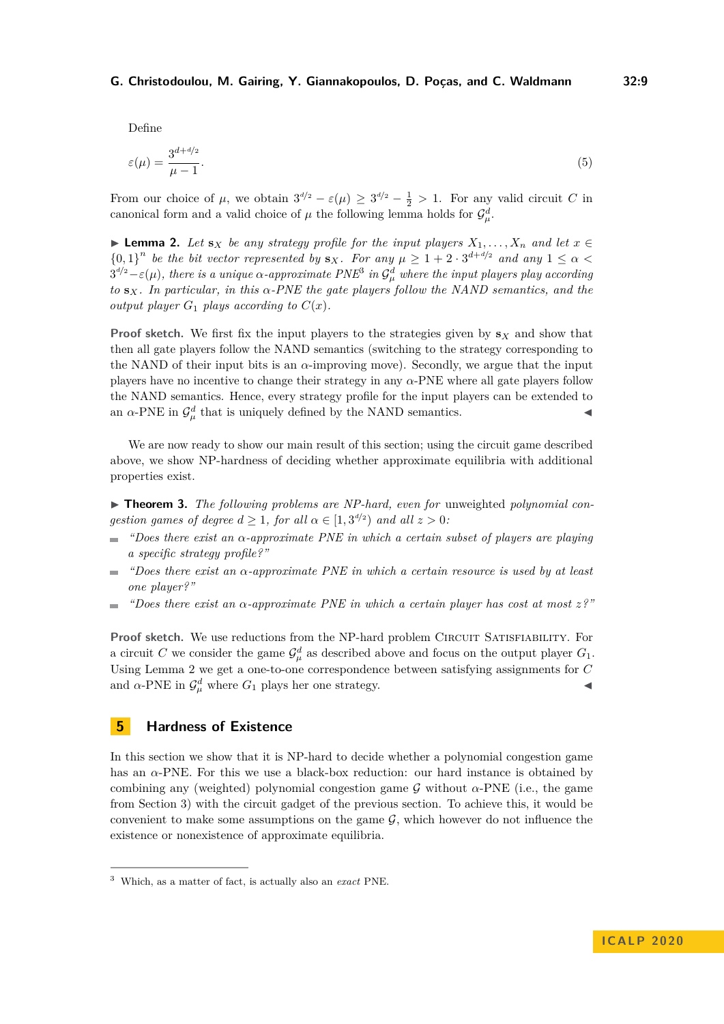Define

$$
\varepsilon(\mu) = \frac{3^{d+4/2}}{\mu - 1}.\tag{5}
$$

From our choice of  $\mu$ , we obtain  $3^{d/2} - \varepsilon(\mu) \ge 3^{d/2} - \frac{1}{2} > 1$ . For any valid circuit *C* in canonical form and a valid choice of  $\mu$  the following lemma holds for  $\mathcal{G}_{\mu}^d$ .

<span id="page-8-3"></span>▶ **Lemma 2.** *Let*  $s_X$  *be any strategy profile for the input players*  $X_1, \ldots, X_n$  *and let*  $x \in \mathbb{R}$  $\{0,1\}^n$  be the bit vector represented by  $\mathbf{s}_X$ *. For any*  $\mu \geq 1 + 2 \cdot 3^{d+d/2}$  and any  $1 \leq \alpha$  $3^{d/2} - \varepsilon(\mu)$  $3^{d/2} - \varepsilon(\mu)$ , there is a unique  $\alpha$ -approximate  $PNE^3$  in  $\mathcal{G}_{\mu}^d$  where the input players play according *to* **s***X. In particular, in this α-PNE the gate players follow the NAND semantics, and the output player*  $G_1$  *plays according to*  $C(x)$ *.* 

**Proof sketch.** We first fix the input players to the strategies given by **s***<sup>X</sup>* and show that then all gate players follow the NAND semantics (switching to the strategy corresponding to the NAND of their input bits is an  $\alpha$ -improving move). Secondly, we argue that the input players have no incentive to change their strategy in any *α*-PNE where all gate players follow the NAND semantics. Hence, every strategy profile for the input players can be extended to an  $\alpha$ -PNE in  $\mathcal{G}^d_\mu$  that is uniquely defined by the NAND semantics.

We are now ready to show our main result of this section; using the circuit game described above, we show NP-hardness of deciding whether approximate equilibria with additional properties exist.

<span id="page-8-0"></span>▶ **Theorem 3.** The following problems are NP-hard, even for unweighted polynomial con*gestion games of degree*  $d \geq 1$ *, for all*  $\alpha \in [1, 3^{d/2})$  *and all*  $z > 0$ *:* 

- *"Does there exist an α-approximate PNE in which a certain subset of players are playing a specific strategy profile?"*
- *"Does there exist an α-approximate PNE in which a certain resource is used by at least one player?"*
- *"Does there exist an α-approximate PNE in which a certain player has cost at most z?"*  $\sim$

**Proof sketch.** We use reductions from the NP-hard problem CIRCUIT SATISFIABILITY. For a circuit *C* we consider the game  $\mathcal{G}_{\mu}^{d}$  as described above and focus on the output player  $G_1$ . Using Lemma [2](#page-8-3) we get a one-to-one correspondence between satisfying assignments for *C* and  $\alpha$ -PNE in  $\mathcal{G}^d_\mu$  where  $G_1$  plays her one strategy.

# <span id="page-8-1"></span>**5 Hardness of Existence**

In this section we show that it is NP-hard to decide whether a polynomial congestion game has an *α*-PNE. For this we use a black-box reduction: our hard instance is obtained by combining any (weighted) polynomial congestion game  $\mathcal G$  without  $\alpha$ -PNE (i.e., the game from Section [3\)](#page-4-0) with the circuit gadget of the previous section. To achieve this, it would be convenient to make some assumptions on the game  $\mathcal{G}$ , which however do not influence the existence or nonexistence of approximate equilibria.

<span id="page-8-2"></span><sup>3</sup> Which, as a matter of fact, is actually also an *exact* PNE.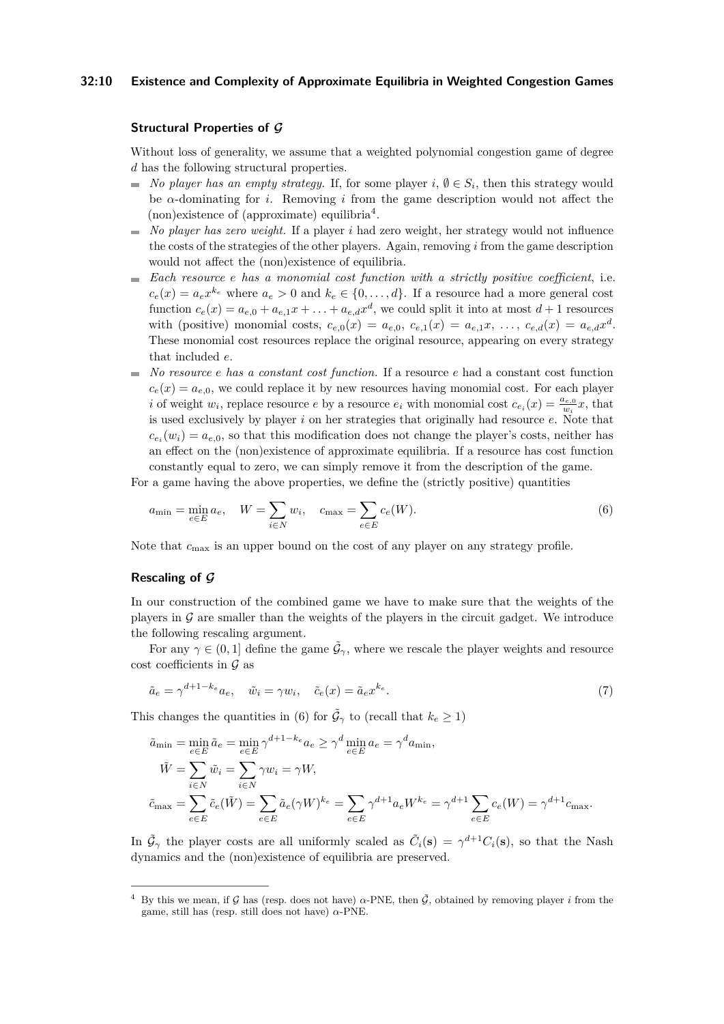#### **32:10 Existence and Complexity of Approximate Equilibria in Weighted Congestion Games**

### **Structural Properties of G**

Without loss of generality, we assume that a weighted polynomial congestion game of degree *d* has the following structural properties.

- *No player has an empty strategy.* If, for some player  $i, \emptyset \in S_i$ , then this strategy would be *α*-dominating for *i*. Removing *i* from the game description would not affect the (non)existence of (approximate) equilibria[4](#page-9-0) .
- $\blacksquare$  *No player has zero weight.* If a player *i* had zero weight, her strategy would not influence the costs of the strategies of the other players. Again, removing *i* from the game description would not affect the (non)existence of equilibria.
- *Each resource e has a monomial cost function with a strictly positive coefficient*, i.e.  $c_e(x) = a_e x^{k_e}$  where  $a_e > 0$  and  $k_e \in \{0, \ldots, d\}$ . If a resource had a more general cost function  $c_e(x) = a_{e,0} + a_{e,1}x + \ldots + a_{e,d}x^d$ , we could split it into at most  $d+1$  resources with (positive) monomial costs,  $c_{e,0}(x) = a_{e,0}, c_{e,1}(x) = a_{e,1}x, \ldots, c_{e,d}(x) = a_{e,d}x^d$ . These monomial cost resources replace the original resource, appearing on every strategy that included *e*.
- *No resource e has a constant cost function.* If a resource *e* had a constant cost function  $c_e(x) = a_{e,0}$ , we could replace it by new resources having monomial cost. For each player *i* of weight  $w_i$ , replace resource *e* by a resource  $e_i$  with monomial cost  $c_{e_i}(x) = \frac{a_{e,0}}{w_i}x$ , that is used exclusively by player *i* on her strategies that originally had resource *e*. Note that  $c_{e_i}(w_i) = a_{e,0}$ , so that this modification does not change the player's costs, neither has an effect on the (non)existence of approximate equilibria. If a resource has cost function constantly equal to zero, we can simply remove it from the description of the game.

For a game having the above properties, we define the (strictly positive) quantities

<span id="page-9-1"></span>
$$
a_{\min} = \min_{e \in E} a_e, \quad W = \sum_{i \in N} w_i, \quad c_{\max} = \sum_{e \in E} c_e(W).
$$
 (6)

Note that *c*max is an upper bound on the cost of any player on any strategy profile.

### **Rescaling of G**

In our construction of the combined game we have to make sure that the weights of the players in  $\mathcal G$  are smaller than the weights of the players in the circuit gadget. We introduce the following rescaling argument.

For any  $\gamma \in (0,1]$  define the game  $\tilde{\mathcal{G}}_{\gamma}$ , where we rescale the player weights and resource cost coefficients in  $\mathcal G$  as

$$
\tilde{a}_e = \gamma^{d+1-k_e} a_e, \quad \tilde{w}_i = \gamma w_i, \quad \tilde{c}_e(x) = \tilde{a}_e x^{k_e}.
$$
\n<sup>(7)</sup>

This changes the quantities in [\(6\)](#page-9-1) for  $\tilde{\mathcal{G}}_{\gamma}$  to (recall that  $k_e \geq 1$ )

$$
\tilde{a}_{\min} = \min_{e \in E} \tilde{a}_e = \min_{e \in E} \gamma^{d+1-k_e} a_e \ge \gamma^d \min_{e \in E} a_e = \gamma^d a_{\min},
$$
  
\n
$$
\tilde{W} = \sum_{i \in N} \tilde{w}_i = \sum_{i \in N} \gamma w_i = \gamma W,
$$
  
\n
$$
\tilde{c}_{\max} = \sum_{e \in E} \tilde{c}_e(\tilde{W}) = \sum_{e \in E} \tilde{a}_e(\gamma W)^{k_e} = \sum_{e \in E} \gamma^{d+1} a_e W^{k_e} = \gamma^{d+1} \sum_{e \in E} c_e(W) = \gamma^{d+1} c_{\max}.
$$

In  $\tilde{\mathcal{G}}_{\gamma}$  the player costs are all uniformly scaled as  $\tilde{C}_i(\mathbf{s}) = \gamma^{d+1}C_i(\mathbf{s})$ , so that the Nash dynamics and the (non)existence of equilibria are preserved.

<span id="page-9-0"></span>By this we mean, if G has (resp. does not have)  $α$ -PNE, then  $\tilde{G}$ , obtained by removing player *i* from the game, still has (resp. still does not have) *α*-PNE.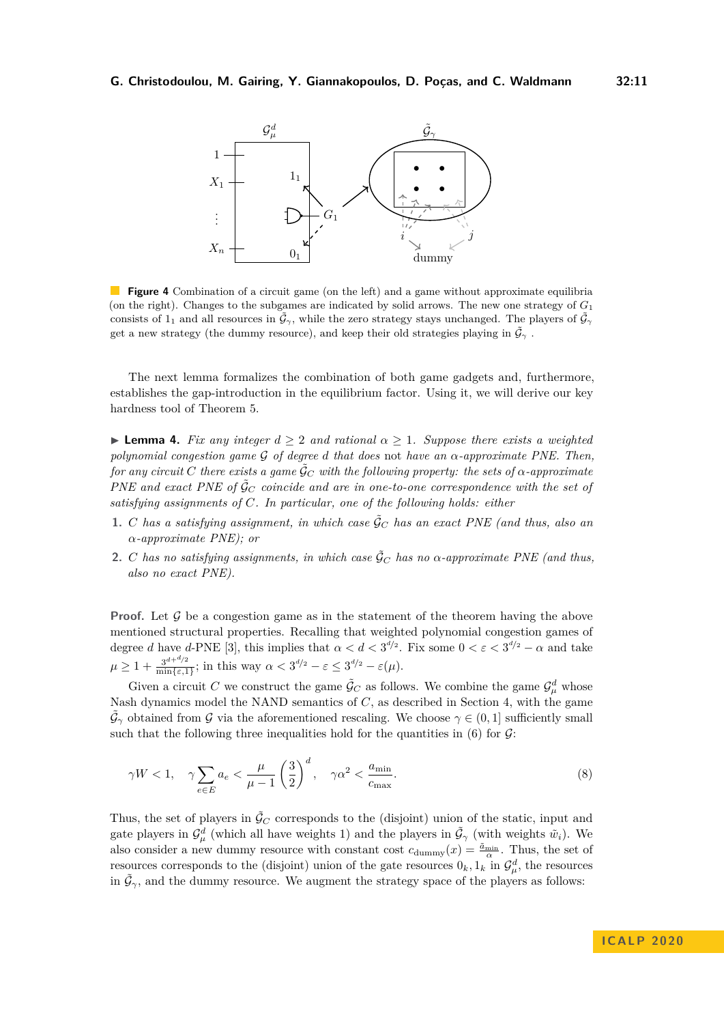<span id="page-10-1"></span>

**Figure 4** Combination of a circuit game (on the left) and a game without approximate equilibria (on the right). Changes to the subgames are indicated by solid arrows. The new one strategy of *G*<sup>1</sup> consists of 1<sub>1</sub> and all resources in  $\tilde{\mathcal{G}}_{\gamma}$ , while the zero strategy stays unchanged. The players of  $\tilde{\mathcal{G}}_{\gamma}$ get a new strategy (the dummy resource), and keep their old strategies playing in  $\tilde{\mathcal{G}}_{\gamma}$ .

The next lemma formalizes the combination of both game gadgets and, furthermore, establishes the gap-introduction in the equilibrium factor. Using it, we will derive our key hardness tool of Theorem [5.](#page-12-0)

<span id="page-10-0"></span>**Lemma 4.** *Fix any integer*  $d \geq 2$  *and rational*  $\alpha \geq 1$ *. Suppose there exists a weighted polynomial congestion game* G *of degree d that does* not *have an α-approximate PNE. Then, for any circuit C* there exists a game  $\tilde{G}_C$  with the following property: the sets of  $\alpha$ -approximate *PNE and exact PNE of*  $\tilde{G}_C$  *coincide and are in one-to-one correspondence with the set of satisfying assignments of C. In particular, one of the following holds: either*

- **1.** *C* has a satisfying assignment, in which case  $\tilde{\mathcal{G}}_C$  has an exact PNE (and thus, also an *α-approximate PNE); or*
- **2.** *C* has no satisfying assignments, in which case  $\tilde{\mathcal{G}}_C$  has no  $\alpha$ -approximate PNE (and thus, *also no exact PNE).*

**Proof.** Let  $\mathcal G$  be a congestion game as in the statement of the theorem having the above mentioned structural properties. Recalling that weighted polynomial congestion games of degree *d* have *d*-PNE [\[3\]](#page-16-6), this implies that  $\alpha < d < 3^{d/2}$ . Fix some  $0 < \varepsilon < 3^{d/2} - \alpha$  and take  $\mu \geq 1 + \frac{3^{d+d/2}}{\min\{s\}}$  $\frac{3^{a+\omega/2}}{\min\{\varepsilon,1\}}$ ; in this way  $\alpha < 3^{d/2} - \varepsilon \leq 3^{d/2} - \varepsilon(\mu)$ .

Given a circuit C we construct the game  $\tilde{\mathcal{G}}_C$  as follows. We combine the game  $\mathcal{G}_{\mu}^d$  whose Nash dynamics model the NAND semantics of *C*, as described in Section [4,](#page-6-0) with the game  $\tilde{\mathcal{G}}_{\gamma}$  obtained from G via the aforementioned rescaling. We choose  $\gamma \in (0,1]$  sufficiently small such that the following three inequalities hold for the quantities in  $(6)$  for  $\mathcal{G}$ :

<span id="page-10-2"></span>
$$
\gamma W < 1, \quad \gamma \sum_{e \in E} a_e < \frac{\mu}{\mu - 1} \left(\frac{3}{2}\right)^d, \quad \gamma \alpha^2 < \frac{a_{\min}}{c_{\max}}.\tag{8}
$$

Thus, the set of players in  $\tilde{G}_C$  corresponds to the (disjoint) union of the static, input and gate players in  $\mathcal{G}^d_\mu$  (which all have weights 1) and the players in  $\tilde{\mathcal{G}}_\gamma$  (with weights  $\tilde{w}_i$ ). We also consider a new dummy resource with constant cost  $c_{\text{dummy}}(x) = \frac{\tilde{a}_{\text{min}}}{\alpha}$ . Thus, the set of resources corresponds to the (disjoint) union of the gate resources  $0_k, 1_k$  in  $\mathcal{G}_{\mu}^d$ , the resources in  $\tilde{\mathcal{G}}_{\gamma}$ , and the dummy resource. We augment the strategy space of the players as follows: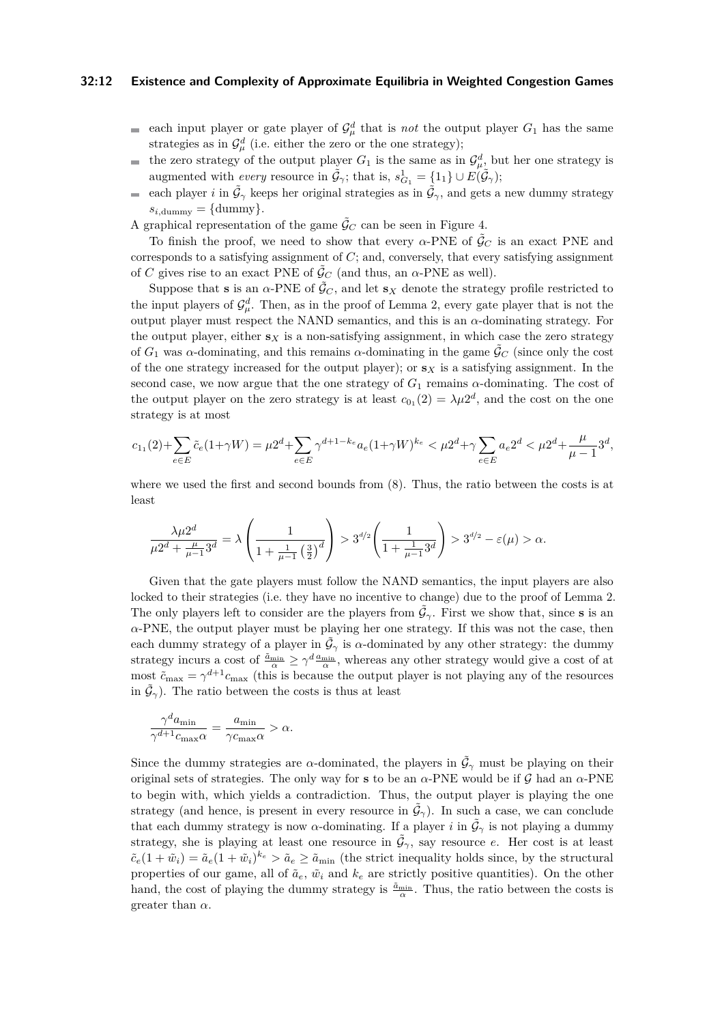#### **32:12 Existence and Complexity of Approximate Equilibria in Weighted Congestion Games**

- ш. each input player or gate player of  $\mathcal{G}_{\mu}^{d}$  that is *not* the output player  $G_1$  has the same strategies as in  $\mathcal{G}_{\mu}^{d}$  (i.e. either the zero or the one strategy);
- the zero strategy of the output player  $G_1$  is the same as in  $\mathcal{G}_{\mu}^d$ , but her one strategy is  $\sim$ augmented with *every* resource in  $\tilde{\mathcal{G}}_{\gamma}$ ; that is,  $s_{G_1}^1 = \{1_1\} \cup E(\tilde{\mathcal{G}}_{\gamma})$ ;
- each player *i* in  $\tilde{\mathcal{G}}_{\gamma}$  keeps her original strategies as in  $\tilde{\mathcal{G}}_{\gamma}$ , and gets a new dummy strategy  $\blacksquare$  $s_{i,\text{dummy}} = \{\text{dummy}\}.$
- A graphical representation of the game  $\tilde{G}_C$  can be seen in Figure [4.](#page-10-1)

To finish the proof, we need to show that every  $\alpha$ -PNE of  $\tilde{G}_C$  is an exact PNE and corresponds to a satisfying assignment of *C*; and, conversely, that every satisfying assignment of *C* gives rise to an exact PNE of  $\tilde{\mathcal{G}}_C$  (and thus, an  $\alpha$ -PNE as well).

Suppose that **s** is an  $\alpha$ -PNE of  $\tilde{\mathcal{G}}_C$ , and let **s***x* denote the strategy profile restricted to the input players of  $\mathcal{G}_{\mu}^{d}$ . Then, as in the proof of Lemma [2,](#page-8-3) every gate player that is not the output player must respect the NAND semantics, and this is an  $\alpha$ -dominating strategy. For the output player, either  $\mathbf{s}_X$  is a non-satisfying assignment, in which case the zero strategy of  $G_1$  was *α*-dominating, and this remains *α*-dominating in the game  $\tilde{\mathcal{G}}_C$  (since only the cost of the one strategy increased for the output player); or  $\mathbf{s}_X$  is a satisfying assignment. In the second case, we now argue that the one strategy of  $G_1$  remains  $\alpha$ -dominating. The cost of the output player on the zero strategy is at least  $c_{0_1}(2) = \lambda \mu 2^d$ , and the cost on the one strategy is at most

$$
c_{1_1}(2)+\sum_{e\in E}\tilde{c}_e(1+\gamma W)=\mu 2^d+\sum_{e\in E}\gamma^{d+1-k_e}a_e(1+\gamma W)^{k_e}<\mu 2^d+\gamma\sum_{e\in E}a_e2^d<\mu 2^d+\frac{\mu}{\mu-1}3^d,
$$

where we used the first and second bounds from [\(8\)](#page-10-2). Thus, the ratio between the costs is at least

$$
\frac{\lambda\mu 2^d}{\mu 2^d + \frac{\mu}{\mu - 1}3^d} = \lambda \left( \frac{1}{1 + \frac{1}{\mu - 1} \left( \frac{3}{2} \right)^d} \right) > 3^{d/2} \left( \frac{1}{1 + \frac{1}{\mu - 1}3^d} \right) > 3^{d/2} - \varepsilon(\mu) > \alpha.
$$

Given that the gate players must follow the NAND semantics, the input players are also locked to their strategies (i.e. they have no incentive to change) due to the proof of Lemma [2.](#page-8-3) The only players left to consider are the players from  $\tilde{\mathcal{G}}_{\gamma}$ . First we show that, since **s** is an *α*-PNE, the output player must be playing her one strategy. If this was not the case, then each dummy strategy of a player in  $\tilde{\mathcal{G}}_{\gamma}$  is *α*-dominated by any other strategy: the dummy strategy incurs a cost of  $\frac{\tilde{a}_{\min}}{\alpha} \ge \gamma^d \frac{a_{\min}}{\alpha}$ , whereas any other strategy would give a cost of at most  $\tilde{c}_{\text{max}} = \gamma^{d+1} c_{\text{max}}$  (this is because the output player is not playing any of the resources in  $\tilde{\mathcal{G}}_{\gamma}$ ). The ratio between the costs is thus at least

$$
\frac{\gamma^d a_{\min}}{\gamma^{d+1} c_{\max} \alpha} = \frac{a_{\min}}{\gamma c_{\max} \alpha} > \alpha.
$$

Since the dummy strategies are *α*-dominated, the players in  $\tilde{\mathcal{G}}_{\gamma}$  must be playing on their original sets of strategies. The only way for **s** to be an  $\alpha$ -PNE would be if  $\mathcal{G}$  had an  $\alpha$ -PNE to begin with, which yields a contradiction. Thus, the output player is playing the one strategy (and hence, is present in every resource in  $\tilde{\mathcal{G}}_{\gamma}$ ). In such a case, we can conclude that each dummy strategy is now *α*-dominating. If a player *i* in  $\tilde{\mathcal{G}}_{\gamma}$  is not playing a dummy strategy, she is playing at least one resource in  $\tilde{\mathcal{G}}_{\gamma}$ , say resource *e*. Her cost is at least  $\tilde{c}_e(1 + \tilde{w}_i) = \tilde{a}_e(1 + \tilde{w}_i)^{k_e} > \tilde{a}_e \geq \tilde{a}_{\text{min}}$  (the strict inequality holds since, by the structural properties of our game, all of  $\tilde{a}_e$ ,  $\tilde{w}_i$  and  $k_e$  are strictly positive quantities). On the other hand, the cost of playing the dummy strategy is  $\frac{\tilde{a}_{\min}}{\alpha}$ . Thus, the ratio between the costs is greater than  $\alpha$ .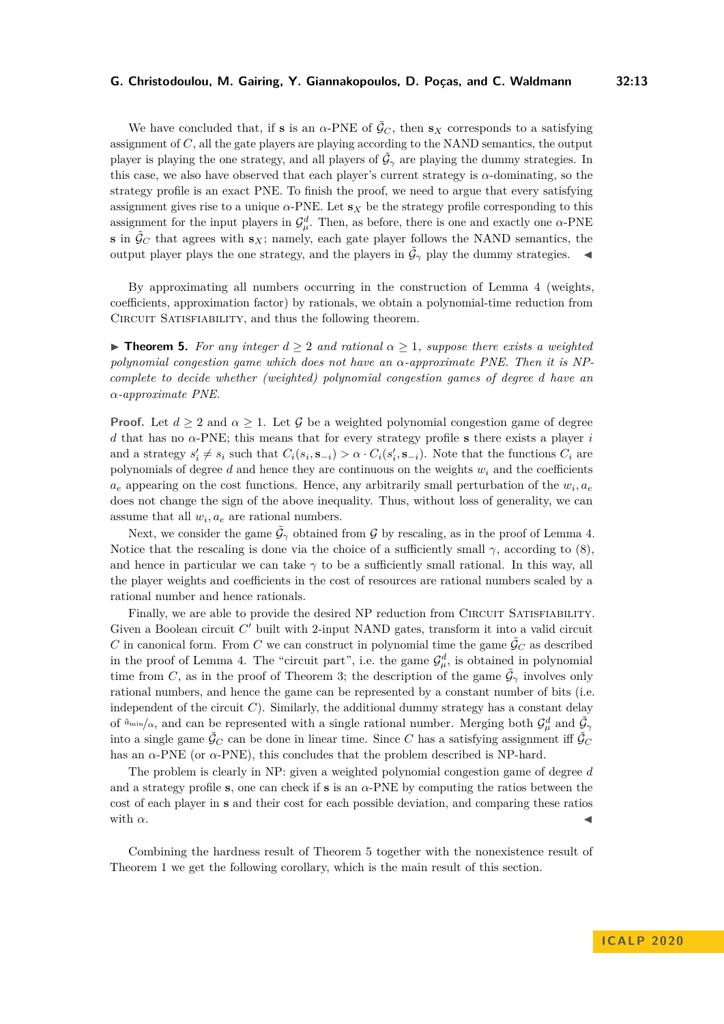We have concluded that, if **s** is an  $\alpha$ -PNE of  $\tilde{G}_C$ , then **s**<sub>*X*</sub> corresponds to a satisfying assignment of *C*, all the gate players are playing according to the NAND semantics, the output player is playing the one strategy, and all players of  $\tilde{\mathcal{G}}_{\gamma}$  are playing the dummy strategies. In this case, we also have observed that each player's current strategy is  $\alpha$ -dominating, so the strategy profile is an exact PNE. To finish the proof, we need to argue that every satisfying assignment gives rise to a unique  $\alpha$ -PNE. Let  $s_X$  be the strategy profile corresponding to this assignment for the input players in  $\mathcal{G}_{\mu}^d$ . Then, as before, there is one and exactly one *α*-PNE **s** in  $\tilde{\mathcal{G}}_C$  that agrees with  $\mathbf{s}_X$ ; namely, each gate player follows the NAND semantics, the output player plays the one strategy, and the players in  $\tilde{\mathcal{G}}_{\gamma}$  play the dummy strategies.

By approximating all numbers occurring in the construction of Lemma [4](#page-10-0) (weights, coefficients, approximation factor) by rationals, we obtain a polynomial-time reduction from CIRCUIT SATISFIABILITY, and thus the following theorem.

<span id="page-12-0"></span>**Figure 1. For any integer**  $d \geq 2$  and rational  $\alpha \geq 1$ , suppose there exists a weighted *polynomial congestion game which does not have an α-approximate PNE. Then it is NPcomplete to decide whether (weighted) polynomial congestion games of degree d have an α-approximate PNE.*

**Proof.** Let  $d > 2$  and  $\alpha > 1$ . Let G be a weighted polynomial congestion game of degree *d* that has no *α*-PNE; this means that for every strategy profile **s** there exists a player *i* and a strategy  $s'_i \neq s_i$  such that  $C_i(s_i, \mathbf{s}_{-i}) > \alpha \cdot C_i(s'_i, \mathbf{s}_{-i})$ . Note that the functions  $C_i$  are polynomials of degree  $d$  and hence they are continuous on the weights  $w_i$  and the coefficients  $a_e$  appearing on the cost functions. Hence, any arbitrarily small perturbation of the  $w_i$ ,  $a_e$ does not change the sign of the above inequality. Thus, without loss of generality, we can assume that all  $w_i$ ,  $a_e$  are rational numbers.

Next, we consider the game  $\tilde{\mathcal{G}}_{\gamma}$  obtained from G by rescaling, as in the proof of Lemma [4.](#page-10-0) Notice that the rescaling is done via the choice of a sufficiently small  $\gamma$ , according to [\(8\)](#page-10-2), and hence in particular we can take  $\gamma$  to be a sufficiently small rational. In this way, all the player weights and coefficients in the cost of resources are rational numbers scaled by a rational number and hence rationals.

Finally, we are able to provide the desired NP reduction from CIRCUIT SATISFIABILITY. Given a Boolean circuit  $C'$  built with 2-input NAND gates, transform it into a valid circuit *C* in canonical form. From *C* we can construct in polynomial time the game  $\tilde{G}_C$  as described in the proof of Lemma [4.](#page-10-0) The "circuit part", i.e. the game  $\mathcal{G}_{\mu}^{d}$ , is obtained in polynomial time from *C*, as in the proof of Theorem [3;](#page-8-0) the description of the game  $\tilde{\mathcal{G}}_{\gamma}$  involves only rational numbers, and hence the game can be represented by a constant number of bits (i.e. independent of the circuit  $C$ ). Similarly, the additional dummy strategy has a constant delay of  $\tilde{a}_{\min}/\alpha$ , and can be represented with a single rational number. Merging both  $\mathcal{G}_{\mu}^d$  and  $\tilde{\mathcal{G}}_{\gamma}$ into a single game  $\tilde{G}_C$  can be done in linear time. Since C has a satisfying assignment iff  $\tilde{G}_C$ has an  $\alpha$ -PNE (or  $\alpha$ -PNE), this concludes that the problem described is NP-hard.

The problem is clearly in NP: given a weighted polynomial congestion game of degree *d* and a strategy profile **s**, one can check if **s** is an *α*-PNE by computing the ratios between the cost of each player in **s** and their cost for each possible deviation, and comparing these ratios with  $\alpha$ .

<span id="page-12-1"></span>Combining the hardness result of Theorem [5](#page-12-0) together with the nonexistence result of Theorem [1](#page-5-0) we get the following corollary, which is the main result of this section.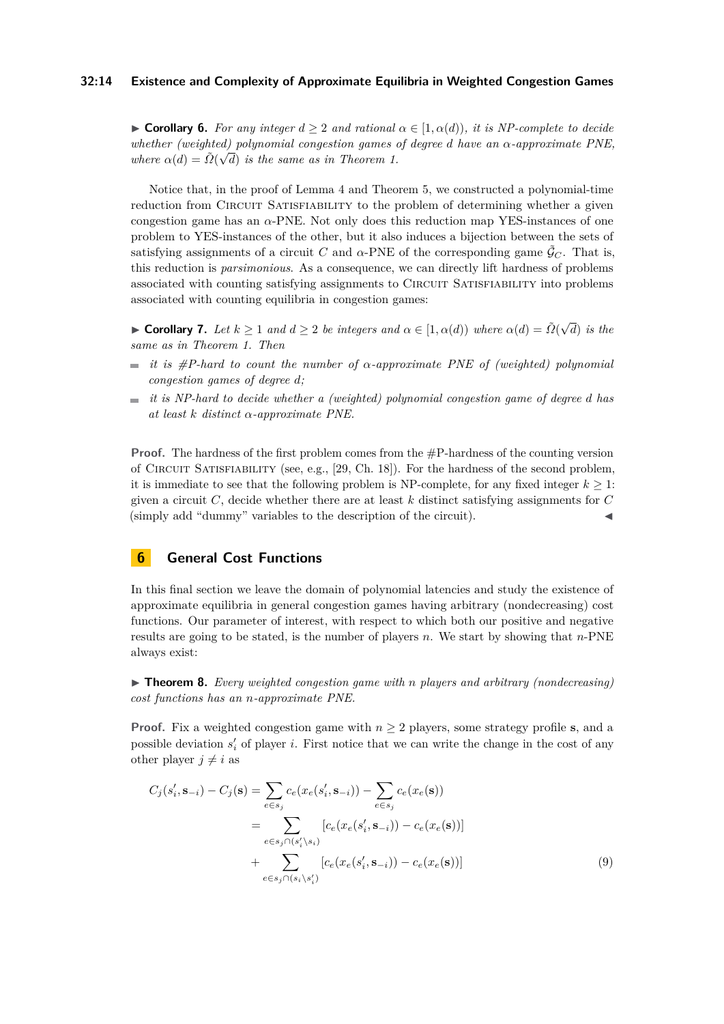#### **32:14 Existence and Complexity of Approximate Equilibria in Weighted Congestion Games**

 $\triangleright$  **Corollary 6.** *For any integer*  $d > 2$  *and rational*  $\alpha \in [1, \alpha(d)]$ *, it is NP-complete to decide whether (weighted) polynomial congestion games of degree d have an α-approximate PNE,* √ *where*  $\alpha(d) = \tilde{\Omega}(\sqrt{d})$  *is the same as in Theorem [1.](#page-5-0)* 

Notice that, in the proof of Lemma [4](#page-10-0) and Theorem [5,](#page-12-0) we constructed a polynomial-time reduction from CIRCUIT SATISFIABILITY to the problem of determining whether a given congestion game has an *α*-PNE. Not only does this reduction map YES-instances of one problem to YES-instances of the other, but it also induces a bijection between the sets of satisfying assignments of a circuit *C* and  $\alpha$ -PNE of the corresponding game  $\tilde{\mathcal{G}}_C$ . That is, this reduction is *parsimonious*. As a consequence, we can directly lift hardness of problems associated with counting satisfying assignments to CIRCUIT SATISFIABILITY into problems associated with counting equilibria in congestion games:

<span id="page-13-0"></span>**► Corollary 7.** *Let*  $k \ge 1$  *and*  $d \ge 2$  *be integers and*  $\alpha \in [1, \alpha(d))$  *where*  $\alpha(d) = \tilde{\Omega}(\sqrt{d})$ *d*) *is the same as in Theorem [1.](#page-5-0) Then*

- *it is #P-hard to count the number of α-approximate PNE of (weighted) polynomial congestion games of degree d;*
- *it is NP-hard to decide whether a (weighted) polynomial congestion game of degree d has*  $\overline{\phantom{a}}$ *at least k distinct α-approximate PNE.*

**Proof.** The hardness of the first problem comes from the  $\#P$ -hardness of the counting version of Circuit Satisfiability (see, e.g., [\[29,](#page-17-13) Ch. 18]). For the hardness of the second problem, it is immediate to see that the following problem is NP-complete, for any fixed integer  $k \geq 1$ : given a circuit *C*, decide whether there are at least *k* distinct satisfying assignments for *C* (simply add "dummy" variables to the description of the circuit).

# <span id="page-13-1"></span>**6 General Cost Functions**

In this final section we leave the domain of polynomial latencies and study the existence of approximate equilibria in general congestion games having arbitrary (nondecreasing) cost functions. Our parameter of interest, with respect to which both our positive and negative results are going to be stated, is the number of players *n*. We start by showing that *n*-PNE always exist:

<span id="page-13-2"></span>▶ **Theorem 8.** *Every weighted congestion game with n players and arbitrary (nondecreasing) cost functions has an n-approximate PNE.*

**Proof.** Fix a weighted congestion game with  $n \geq 2$  players, some strategy profile **s**, and a possible deviation  $s_i'$  of player *i*. First notice that we can write the change in the cost of any other player  $j \neq i$  as

<span id="page-13-3"></span>
$$
C_j(s'_i, \mathbf{s}_{-i}) - C_j(\mathbf{s}) = \sum_{e \in s_j} c_e(x_e(s'_i, \mathbf{s}_{-i})) - \sum_{e \in s_j} c_e(x_e(\mathbf{s}))
$$
  

$$
= \sum_{e \in s_j \cap (s'_i \setminus s_i)} [c_e(x_e(s'_i, \mathbf{s}_{-i})) - c_e(x_e(\mathbf{s}))]
$$
  

$$
+ \sum_{e \in s_j \cap (s_i \setminus s'_i)} [c_e(x_e(s'_i, \mathbf{s}_{-i})) - c_e(x_e(\mathbf{s}))]
$$
(9)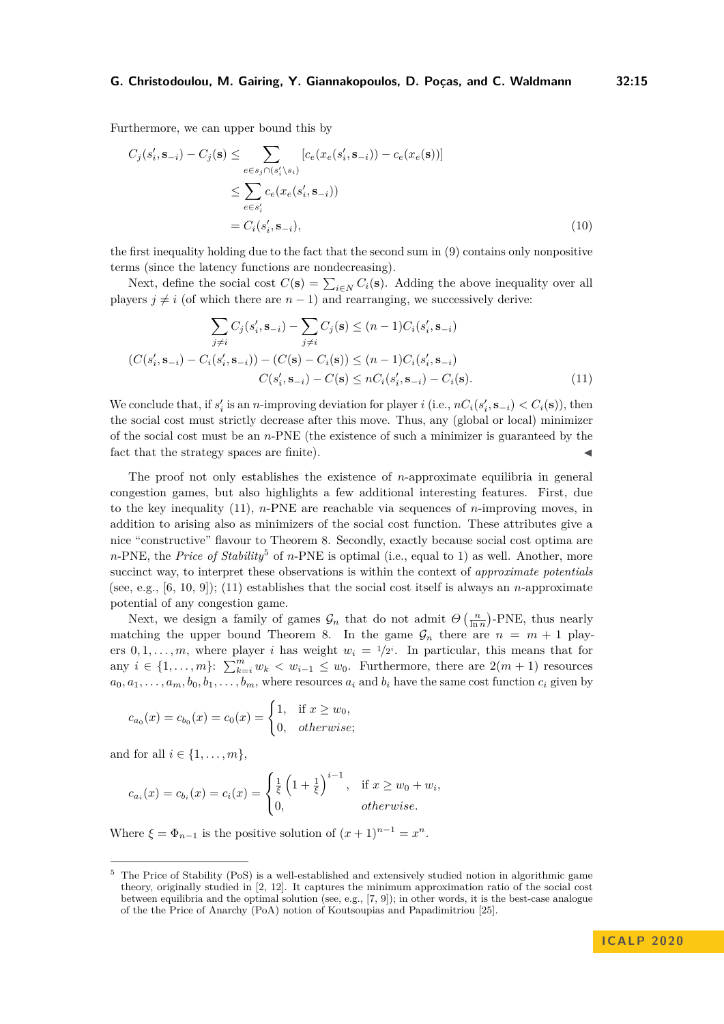Furthermore, we can upper bound this by

$$
C_j(s'_i, \mathbf{s}_{-i}) - C_j(\mathbf{s}) \le \sum_{e \in s_j \cap (s'_i \setminus s_i)} [c_e(x_e(s'_i, \mathbf{s}_{-i})) - c_e(x_e(\mathbf{s}))]
$$
  

$$
\le \sum_{e \in s'_i} c_e(x_e(s'_i, \mathbf{s}_{-i}))
$$
  

$$
= C_i(s'_i, \mathbf{s}_{-i}),
$$
 (10)

the first inequality holding due to the fact that the second sum in [\(9\)](#page-13-3) contains only nonpositive terms (since the latency functions are nondecreasing).

Next, define the social cost  $C(\mathbf{s}) = \sum_{i \in N} C_i(\mathbf{s})$ . Adding the above inequality over all players  $j \neq i$  (of which there are  $n-1$ ) and rearranging, we successively derive:

<span id="page-14-0"></span>
$$
\sum_{j \neq i} C_j(s'_i, \mathbf{s}_{-i}) - \sum_{j \neq i} C_j(\mathbf{s}) \leq (n-1)C_i(s'_i, \mathbf{s}_{-i})
$$
  

$$
(C(s'_i, \mathbf{s}_{-i}) - C_i(s'_i, \mathbf{s}_{-i})) - (C(\mathbf{s}) - C_i(\mathbf{s})) \leq (n-1)C_i(s'_i, \mathbf{s}_{-i})
$$
  

$$
C(s'_i, \mathbf{s}_{-i}) - C(\mathbf{s}) \leq nC_i(s'_i, \mathbf{s}_{-i}) - C_i(\mathbf{s}).
$$
 (11)

We conclude that, if  $s'_i$  is an *n*-improving deviation for player *i* (i.e.,  $nC_i(s'_i, \mathbf{s}_{-i}) < C_i(\mathbf{s})$ ), then the social cost must strictly decrease after this move. Thus, any (global or local) minimizer of the social cost must be an *n*-PNE (the existence of such a minimizer is guaranteed by the fact that the strategy spaces are finite).

The proof not only establishes the existence of *n*-approximate equilibria in general congestion games, but also highlights a few additional interesting features. First, due to the key inequality [\(11\)](#page-14-0), *n*-PNE are reachable via sequences of *n*-improving moves, in addition to arising also as minimizers of the social cost function. These attributes give a nice "constructive" flavour to Theorem [8.](#page-13-2) Secondly, exactly because social cost optima are  $n$ -PNE, the *Price of Stability*<sup>[5](#page-14-1)</sup> of  $n$ -PNE is optimal (i.e., equal to 1) as well. Another, more succinct way, to interpret these observations is within the context of *approximate potentials* (see, e.g., [\[6,](#page-16-8) [10,](#page-16-9) [9\]](#page-16-5)); [\(11\)](#page-14-0) establishes that the social cost itself is always an *n*-approximate potential of any congestion game.

Next, we design a family of games  $\mathcal{G}_n$  that do not admit  $\Theta\left(\frac{n}{\ln n}\right)$ -PNE, thus nearly matching the upper bound Theorem [8.](#page-13-2) In the game  $\mathcal{G}_n$  there are  $n = m + 1$  players  $0, 1, \ldots, m$ , where player *i* has weight  $w_i = 1/2^i$ . In particular, this means that for any  $i \in \{1, \ldots, m\}$ :  $\sum_{k=i}^{m} w_k < w_{i-1} \le w_0$ . Furthermore, there are  $2(m + 1)$  resources  $a_0, a_1, \ldots, a_m, b_0, b_1, \ldots, b_m$ , where resources  $a_i$  and  $b_i$  have the same cost function  $c_i$  given by

$$
c_{a_0}(x) = c_{b_0}(x) = c_0(x) = \begin{cases} 1, & \text{if } x \ge w_0, \\ 0, & otherwise; \end{cases}
$$

and for all  $i \in \{1, \ldots, m\}$ ,

$$
c_{a_i}(x) = c_{b_i}(x) = c_i(x) = \begin{cases} \frac{1}{\xi} \left(1 + \frac{1}{\xi}\right)^{i-1}, & \text{if } x \ge w_0 + w_i, \\ 0, & \text{otherwise.} \end{cases}
$$

Where  $\xi = \Phi_{n-1}$  is the positive solution of  $(x+1)^{n-1} = x^n$ .

<span id="page-14-1"></span><sup>5</sup> The Price of Stability (PoS) is a well-established and extensively studied notion in algorithmic game theory, originally studied in [\[2,](#page-16-10) [12\]](#page-16-11). It captures the minimum approximation ratio of the social cost between equilibria and the optimal solution (see, e.g., [\[7,](#page-16-12) [9\]](#page-16-5)); in other words, it is the best-case analogue of the the Price of Anarchy (PoA) notion of Koutsoupias and Papadimitriou [\[25\]](#page-17-14).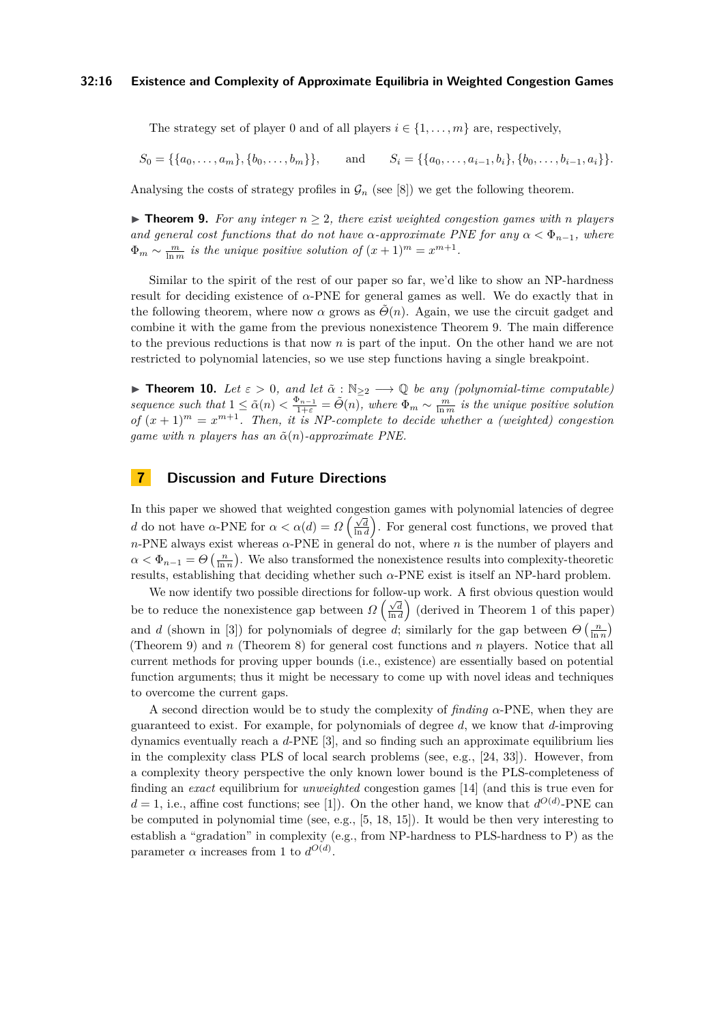The strategy set of player 0 and of all players  $i \in \{1, \ldots, m\}$  are, respectively,

$$
S_0 = \{\{a_0, \ldots, a_m\}, \{b_0, \ldots, b_m\}\}, \quad \text{and} \quad S_i = \{\{a_0, \ldots, a_{i-1}, b_i\}, \{b_0, \ldots, b_{i-1}, a_i\}\}.
$$

<span id="page-15-0"></span>Analysing the costs of strategy profiles in  $\mathcal{G}_n$  (see [\[8\]](#page-16-0)) we get the following theorem.

▶ **Theorem 9.** For any integer  $n \geq 2$ , there exist weighted congestion games with *n* players *and general cost functions that do not have*  $\alpha$ *-approximate PNE for any*  $\alpha < \Phi_{n-1}$ *, where*  $\Phi_m \sim \frac{m}{\ln m}$  *is the unique positive solution of*  $(x+1)^m = x^{m+1}$ .

Similar to the spirit of the rest of our paper so far, we'd like to show an NP-hardness result for deciding existence of *α*-PNE for general games as well. We do exactly that in the following theorem, where now  $\alpha$  grows as  $\tilde{\Theta}(n)$ . Again, we use the circuit gadget and combine it with the game from the previous nonexistence Theorem [9.](#page-15-0) The main difference to the previous reductions is that now *n* is part of the input. On the other hand we are not restricted to polynomial latencies, so we use step functions having a single breakpoint.

**► Theorem 10.** Let  $\varepsilon > 0$ , and let  $\tilde{\alpha}$  :  $\mathbb{N}_{\geq 2}$   $\longrightarrow$  Q *be any (polynomial-time computable) sequence such that*  $1 \leq \tilde{\alpha}(n) < \frac{\Phi_{n-1}}{1+\varepsilon} = \tilde{\Theta}(n)$ , where  $\Phi_m \sim \frac{m}{\ln m}$  is the unique positive solution *of*  $(x + 1)^m = x^{m+1}$ *. Then, it is NP-complete to decide whether a (weighted) congestion game with n players has an*  $\tilde{\alpha}(n)$ *-approximate PNE.* 

# **7 Discussion and Future Directions**

In this paper we showed that weighted congestion games with polynomial latencies of degree *d* do not have *α*-PNE for  $\alpha < \alpha(d) = \Omega\left(\frac{\sqrt{d}}{\ln d}\right)$ . For general cost functions, we proved that *n*-PNE always exist whereas *α*-PNE in general do not, where *n* is the number of players and  $\alpha < \Phi_{n-1} = \Theta\left(\frac{n}{\ln n}\right)$ . We also transformed the nonexistence results into complexity-theoretic results, establishing that deciding whether such *α*-PNE exist is itself an NP-hard problem.

We now identify two possible directions for follow-up work. A first obvious question would be to reduce the nonexistence gap between  $\Omega\left(\frac{\sqrt{d}}{\ln d}\right)$  (derived in Theorem [1](#page-5-0) of this paper) and *d* (shown in [\[3\]](#page-16-6)) for polynomials of degree *d*; similarly for the gap between  $\Theta\left(\frac{n}{\ln n}\right)$ (Theorem [9\)](#page-15-0) and *n* (Theorem [8\)](#page-13-2) for general cost functions and *n* players. Notice that all current methods for proving upper bounds (i.e., existence) are essentially based on potential function arguments; thus it might be necessary to come up with novel ideas and techniques to overcome the current gaps.

A second direction would be to study the complexity of *finding α*-PNE, when they are guaranteed to exist. For example, for polynomials of degree *d*, we know that *d*-improving dynamics eventually reach a *d*-PNE [\[3\]](#page-16-6), and so finding such an approximate equilibrium lies in the complexity class PLS of local search problems (see, e.g., [\[24,](#page-17-15) [33\]](#page-17-16)). However, from a complexity theory perspective the only known lower bound is the PLS-completeness of finding an *exact* equilibrium for *unweighted* congestion games [\[14\]](#page-16-13) (and this is true even for  $d = 1$ , i.e., affine cost functions; see [\[1\]](#page-16-14)). On the other hand, we know that  $d^{O(d)}$ -PNE can be computed in polynomial time (see, e.g., [\[5,](#page-16-15) [18,](#page-17-17) [15\]](#page-16-16)). It would be then very interesting to establish a "gradation" in complexity (e.g., from NP-hardness to PLS-hardness to P) as the parameter  $\alpha$  increases from 1 to  $d^{O(d)}$ .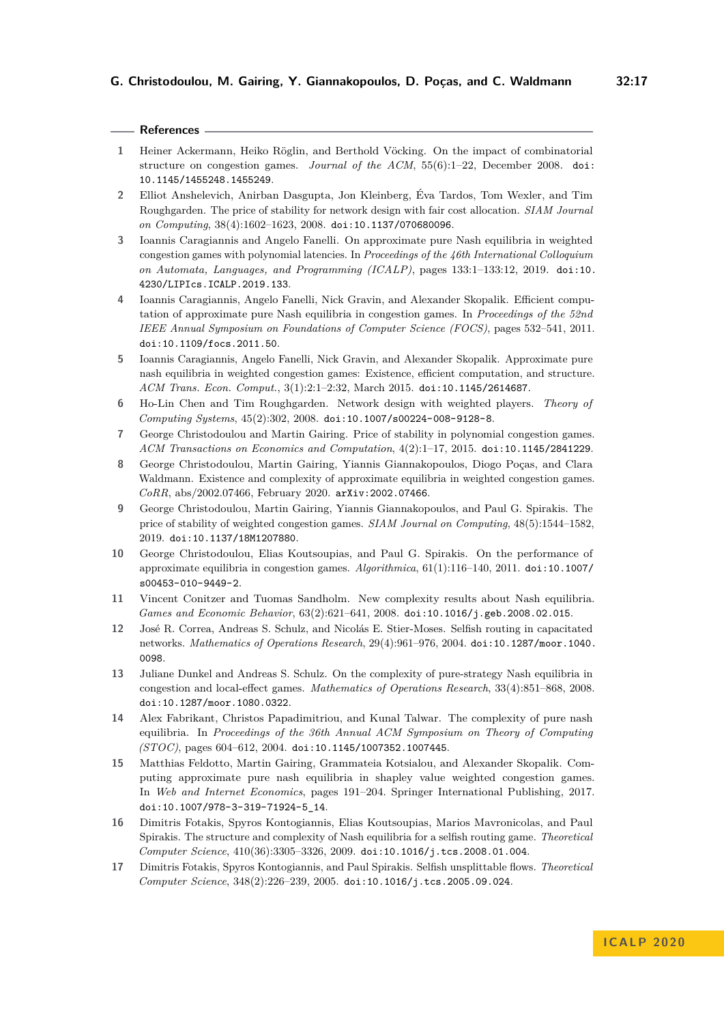**References**

 $\overline{\phantom{0}}$ 

<span id="page-16-15"></span><span id="page-16-14"></span><span id="page-16-12"></span><span id="page-16-10"></span><span id="page-16-8"></span><span id="page-16-6"></span><span id="page-16-4"></span><span id="page-16-0"></span>

| 1              | Heiner Ackermann, Heiko Röglin, and Berthold Vöcking. On the impact of combinatorial<br>structure on congestion games. Journal of the ACM, $55(6)$ :1-22, December 2008. doi:<br>10.1145/1455248.1455249.                                                                                                       |
|----------------|-----------------------------------------------------------------------------------------------------------------------------------------------------------------------------------------------------------------------------------------------------------------------------------------------------------------|
| $\overline{2}$ | Elliot Anshelevich, Anirban Dasgupta, Jon Kleinberg, Éva Tardos, Tom Wexler, and Tim<br>Roughgarden. The price of stability for network design with fair cost allocation. SIAM Journal<br>on Computing, 38(4):1602-1623, 2008. doi:10.1137/070680096.                                                           |
| 3              | Ioannis Caragiannis and Angelo Fanelli. On approximate pure Nash equilibria in weighted<br>congestion games with polynomial latencies. In Proceedings of the 46th International Colloquium<br>on Automata, Languages, and Programming (ICALP), pages 133:1-133:12, 2019. doi:10.<br>4230/LIPIcs.ICALP.2019.133. |
| 4              | Ioannis Caragiannis, Angelo Fanelli, Nick Gravin, and Alexander Skopalik. Efficient compu-<br>tation of approximate pure Nash equilibria in congestion games. In Proceedings of the 52nd<br>IEEE Annual Symposium on Foundations of Computer Science (FOCS), pages 532-541, 2011.<br>doi:10.1109/focs.2011.50.  |
| 5.             | Ioannis Caragiannis, Angelo Fanelli, Nick Gravin, and Alexander Skopalik. Approximate pure<br>nash equilibria in weighted congestion games: Existence, efficient computation, and structure.<br>ACM Trans. Econ. Comput., 3(1):2:1-2:32, March 2015. doi:10.1145/2614687.                                       |
| 6              | Ho-Lin Chen and Tim Roughgarden. Network design with weighted players.<br>Theory of<br>Computing Systems, 45(2):302, 2008. doi:10.1007/s00224-008-9128-8.                                                                                                                                                       |
| 7              | George Christodoulou and Martin Gairing. Price of stability in polynomial congestion games.<br>ACM Transactions on Economics and Computation, 4(2):1-17, 2015. doi:10.1145/2841229.                                                                                                                             |
| 8              | George Christodoulou, Martin Gairing, Yiannis Giannakopoulos, Diogo Poças, and Clara<br>Waldmann. Existence and complexity of approximate equilibria in weighted congestion games.<br>$CoRR$ , abs/2002.07466, February 2020. arXiv:2002.07466.                                                                 |
| 9              | George Christodoulou, Martin Gairing, Yiannis Giannakopoulos, and Paul G. Spirakis. The<br>price of stability of weighted congestion games. SIAM Journal on Computing, 48(5):1544-1582,<br>2019. doi:10.1137/18M1207880.                                                                                        |
| 10             | George Christodoulou, Elias Koutsoupias, and Paul G. Spirakis. On the performance of<br>approximate equilibria in congestion games. Algorithmica, 61(1):116-140, 2011. doi:10.1007/<br>s00453-010-9449-2.                                                                                                       |
| 11             | Vincent Conitzer and Tuomas Sandholm. New complexity results about Nash equilibria.<br>Games and Economic Behavior, 63(2):621-641, 2008. doi:10.1016/j.geb.2008.02.015.                                                                                                                                         |
| 12             | José R. Correa, Andreas S. Schulz, and Nicolás E. Stier-Moses. Selfish routing in capacitated<br>networks. Mathematics of Operations Research, 29(4):961-976, 2004. doi:10.1287/moor.1040.<br>0098.                                                                                                             |
| 13             | Juliane Dunkel and Andreas S. Schulz. On the complexity of pure-strategy Nash equilibria in<br>congestion and local-effect games. Mathematics of Operations Research, 33(4):851-868, 2008.<br>doi:10.1287/moor.1080.0322.                                                                                       |
| 14             | Alex Fabrikant, Christos Papadimitriou, and Kunal Talwar. The complexity of pure nash<br>equilibria. In Proceedings of the 36th Annual ACM Symposium on Theory of Computing<br>$(TOC)$ , pages 604-612, 2004. doi:10.1145/1007352.1007445.                                                                      |
| 15             | Matthias Feldotto, Martin Gairing, Grammateia Kotsialou, and Alexander Skopalik. Com-<br>puting approximate pure nash equilibria in shapley value weighted congestion games.<br>In Web and Internet Economics, pages 191–204. Springer International Publishing, 2017.<br>doi:10.1007/978-3-319-71924-5_14.     |
| 16             | Dimitris Fotakis, Spyros Kontogiannis, Elias Koutsoupias, Marios Mavronicolas, and Paul                                                                                                                                                                                                                         |

- <span id="page-16-16"></span><span id="page-16-13"></span><span id="page-16-11"></span><span id="page-16-9"></span><span id="page-16-7"></span><span id="page-16-5"></span><span id="page-16-3"></span><span id="page-16-2"></span>Spirakis. The structure and complexity of Nash equilibria for a selfish routing game. *Theoretical Computer Science*, 410(36):3305–3326, 2009. [doi:10.1016/j.tcs.2008.01.004](https://doi.org/10.1016/j.tcs.2008.01.004).
- <span id="page-16-1"></span>**17** Dimitris Fotakis, Spyros Kontogiannis, and Paul Spirakis. Selfish unsplittable flows. *Theoretical Computer Science*, 348(2):226–239, 2005. [doi:10.1016/j.tcs.2005.09.024](https://doi.org/10.1016/j.tcs.2005.09.024).